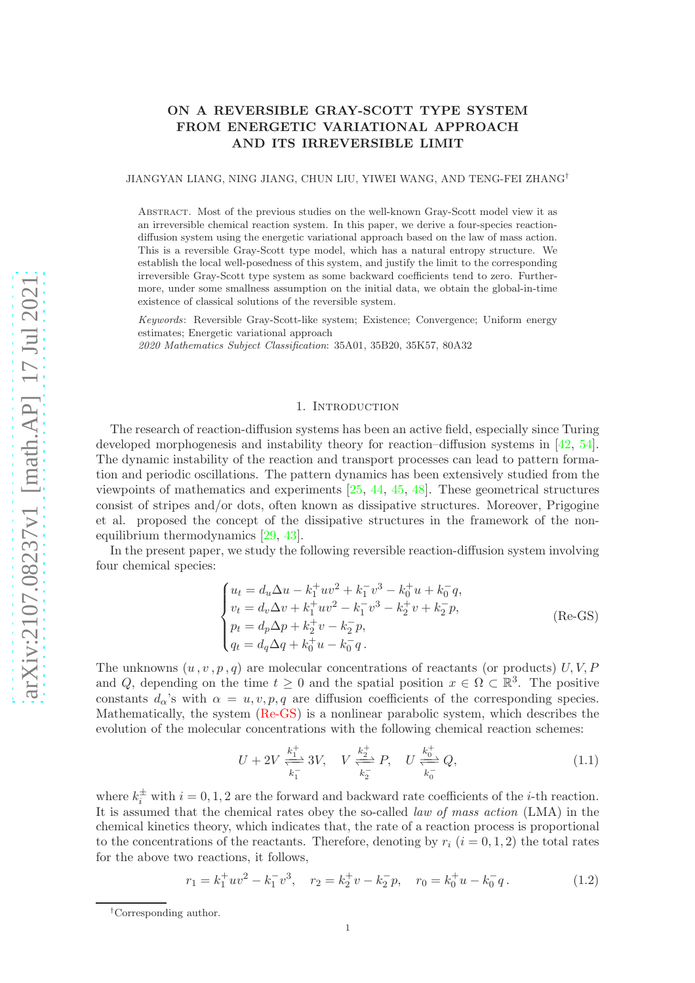# ON A REVERSIBLE GRAY-SCOTT TYPE SYSTEM FROM ENERGETIC VARIATIONAL APPROACH AND ITS IRREVERSIBLE LIMIT

JIANGYAN LIANG, NING JIANG, CHUN LIU, YIWEI WANG, AND TENG-FEI ZHANG†

Abstract. Most of the previous studies on the well-known Gray-Scott model view it as an irreversible chemical reaction system. In this paper, we derive a four-species reactiondiffusion system using the energetic variational approach based on the law of mass action. This is a reversible Gray-Scott type model, which has a natural entropy structure. We establish the local well-posedness of this system, and justify the limit to the corresponding irreversible Gray-Scott type system as some backward coefficients tend to zero. Furthermore, under some smallness assumption on the initial data, we obtain the global-in-time existence of classical solutions of the reversible system.

Keywords: Reversible Gray-Scott-like system; Existence; Convergence; Uniform energy estimates; Energetic variational approach

2020 Mathematics Subject Classification: 35A01, 35B20, 35K57, 80A32

### <span id="page-0-0"></span>1. Introduction

The research of reaction-diffusion systems has been an active field, especially since Turing developed morphogenesis and instability theory for reaction–diffusion systems in [\[42,](#page-19-0) [54](#page-20-0)]. The dynamic instability of the reaction and transport processes can lead to pattern formation and periodic oscillations. The pattern dynamics has been extensively studied from the viewpoints of mathematics and experiments [\[25](#page-18-0), [44](#page-19-1), [45](#page-19-2), [48\]](#page-20-1). These geometrical structures consist of stripes and/or dots, often known as dissipative structures. Moreover, Prigogine et al. proposed the concept of the dissipative structures in the framework of the nonequilibrium thermodynamics [\[29](#page-19-3), [43](#page-19-4)].

In the present paper, we study the following reversible reaction-diffusion system involving four chemical species:

$$
\begin{cases}\nu_t = d_u \Delta u - k_1^+ u v^2 + k_1^- v^3 - k_0^+ u + k_0^- q, \nv_t = d_v \Delta v + k_1^+ u v^2 - k_1^- v^3 - k_2^+ v + k_2^- p, \np_t = d_p \Delta p + k_2^+ v - k_2^- p, \nq_t = d_q \Delta q + k_0^+ u - k_0^- q.\n\end{cases}
$$
\n(Re-GS)

The unknowns  $(u, v, p, q)$  are molecular concentrations of reactants (or products) U, V, P and Q, depending on the time  $t \geq 0$  and the spatial position  $x \in \Omega \subset \mathbb{R}^3$ . The positive constants  $d_{\alpha}$ 's with  $\alpha = u, v, p, q$  are diffusion coefficients of the corresponding species. Mathematically, the system [\(Re-GS\)](#page-0-0) is a nonlinear parabolic system, which describes the evolution of the molecular concentrations with the following chemical reaction schemes:

<span id="page-0-1"></span>
$$
U + 2V \xrightarrow[k_1^-]{k_1^+} 3V, \quad V \xrightarrow[k_2^-]{k_2^+} P, \quad U \xrightarrow[k_0^-]{k_0^+} Q,
$$
\n
$$
(1.1)
$$

where  $k_i^{\pm}$  with  $i = 0, 1, 2$  are the forward and backward rate coefficients of the *i*-th reaction. It is assumed that the chemical rates obey the so-called law of mass action (LMA) in the chemical kinetics theory, which indicates that, the rate of a reaction process is proportional to the concentrations of the reactants. Therefore, denoting by  $r_i$   $(i = 0, 1, 2)$  the total rates for the above two reactions, it follows,

$$
r_1 = k_1^+ u v^2 - k_1^- v^3, \quad r_2 = k_2^+ v - k_2^- p, \quad r_0 = k_0^+ u - k_0^- q. \tag{1.2}
$$

<sup>†</sup>Corresponding author.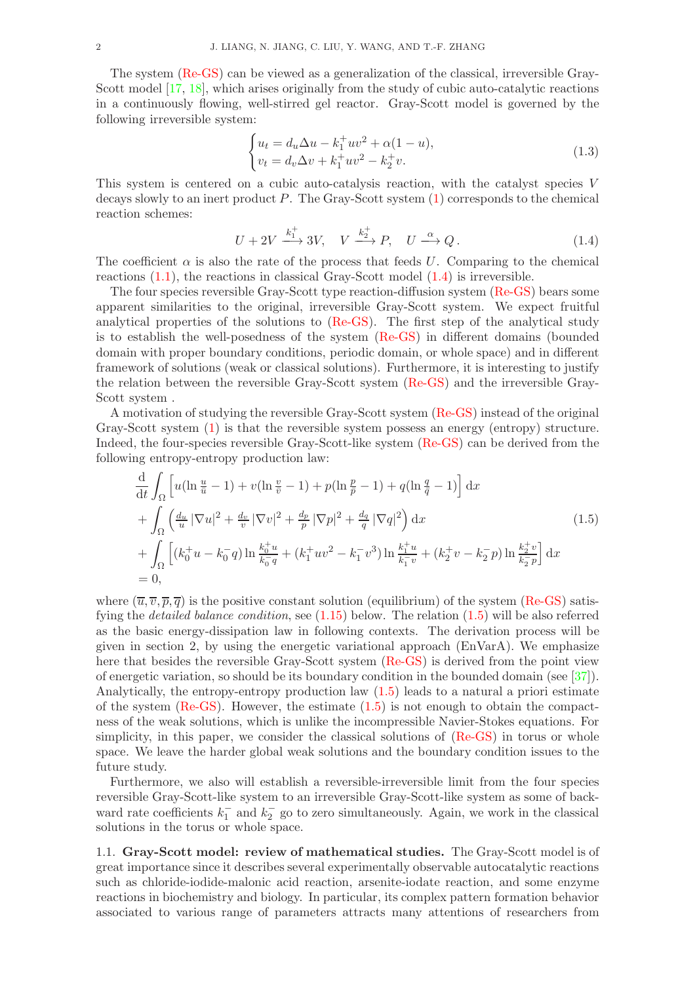The system [\(Re-GS\)](#page-0-0) can be viewed as a generalization of the classical, irreversible Gray-Scott model [\[17,](#page-18-1) [18\]](#page-18-2), which arises originally from the study of cubic auto-catalytic reactions in a continuously flowing, well-stirred gel reactor. Gray-Scott model is governed by the following irreversible system:

$$
\begin{cases} u_t = d_u \Delta u - k_1^+ u v^2 + \alpha (1 - u), \\ v_t = d_v \Delta v + k_1^+ u v^2 - k_2^+ v. \end{cases}
$$
\n(1.3)

This system is centered on a cubic auto-catalysis reaction, with the catalyst species V decays slowly to an inert product  $P$ . The Gray-Scott system  $(1)$  corresponds to the chemical reaction schemes:

<span id="page-1-0"></span>
$$
U + 2V \xrightarrow{k_1^+} 3V, \quad V \xrightarrow{k_2^+} P, \quad U \xrightarrow{\alpha} Q. \tag{1.4}
$$

The coefficient  $\alpha$  is also the rate of the process that feeds U. Comparing to the chemical reactions  $(1.1)$ , the reactions in classical Gray-Scott model  $(1.4)$  is irreversible.

The four species reversible Gray-Scott type reaction-diffusion system [\(Re-GS\)](#page-0-0) bears some apparent similarities to the original, irreversible Gray-Scott system. We expect fruitful analytical properties of the solutions to [\(Re-GS\)](#page-0-0). The first step of the analytical study is to establish the well-posedness of the system [\(Re-GS\)](#page-0-0) in different domains (bounded domain with proper boundary conditions, periodic domain, or whole space) and in different framework of solutions (weak or classical solutions). Furthermore, it is interesting to justify the relation between the reversible Gray-Scott system [\(Re-GS\)](#page-0-0) and the irreversible Gray-Scott system .

A motivation of studying the reversible Gray-Scott system [\(Re-GS\)](#page-0-0) instead of the original Gray-Scott system [\(1\)](#page-1-0) is that the reversible system possess an energy (entropy) structure. Indeed, the four-species reversible Gray-Scott-like system [\(Re-GS\)](#page-0-0) can be derived from the following entropy-entropy production law:

<span id="page-1-1"></span>
$$
\frac{d}{dt} \int_{\Omega} \left[ u(\ln \frac{u}{\bar{u}} - 1) + v(\ln \frac{v}{\bar{v}} - 1) + p(\ln \frac{p}{\bar{p}} - 1) + q(\ln \frac{q}{\bar{q}} - 1) \right] dx \n+ \int_{\Omega} \left( \frac{d_u}{u} |\nabla u|^2 + \frac{d_v}{v} |\nabla v|^2 + \frac{d_v}{p} |\nabla p|^2 + \frac{d_q}{q} |\nabla q|^2 \right) dx \n+ \int_{\Omega} \left[ (k_0^+ u - k_0^- q) \ln \frac{k_0^+ u}{k_0^- q} + (k_1^+ u v^2 - k_1^- v^3) \ln \frac{k_1^+ u}{k_1^- v} + (k_2^+ v - k_2^- p) \ln \frac{k_2^+ v}{k_2^- p} \right] dx \n= 0,
$$
\n(1.5)

where  $(\overline{u}, \overline{v}, \overline{p}, \overline{q})$  is the positive constant solution (equilibrium) of the system [\(Re-GS\)](#page-0-0) satisfying the *detailed balance condition*, see  $(1.15)$  below. The relation  $(1.5)$  will be also referred as the basic energy-dissipation law in following contexts. The derivation process will be given in section 2, by using the energetic variational approach  $(EnVarA)$ . We emphasize here that besides the reversible Gray-Scott system [\(Re-GS\)](#page-0-0) is derived from the point view of energetic variation, so should be its boundary condition in the bounded domain (see [\[37\]](#page-19-5)). Analytically, the entropy-entropy production law [\(1.5\)](#page-1-1) leads to a natural a priori estimate of the system  $(Re-GS)$ . However, the estimate  $(1.5)$  is not enough to obtain the compactness of the weak solutions, which is unlike the incompressible Navier-Stokes equations. For simplicity, in this paper, we consider the classical solutions of [\(Re-GS\)](#page-0-0) in torus or whole space. We leave the harder global weak solutions and the boundary condition issues to the future study.

Furthermore, we also will establish a reversible-irreversible limit from the four species reversible Gray-Scott-like system to an irreversible Gray-Scott-like system as some of backward rate coefficients  $k_1^-$  and  $k_2^-$  go to zero simultaneously. Again, we work in the classical solutions in the torus or whole space.

<span id="page-1-2"></span>1.1. Gray-Scott model: review of mathematical studies. The Gray-Scott model is of great importance since it describes several experimentally observable autocatalytic reactions such as chloride-iodide-malonic acid reaction, arsenite-iodate reaction, and some enzyme reactions in biochemistry and biology. In particular, its complex pattern formation behavior associated to various range of parameters attracts many attentions of researchers from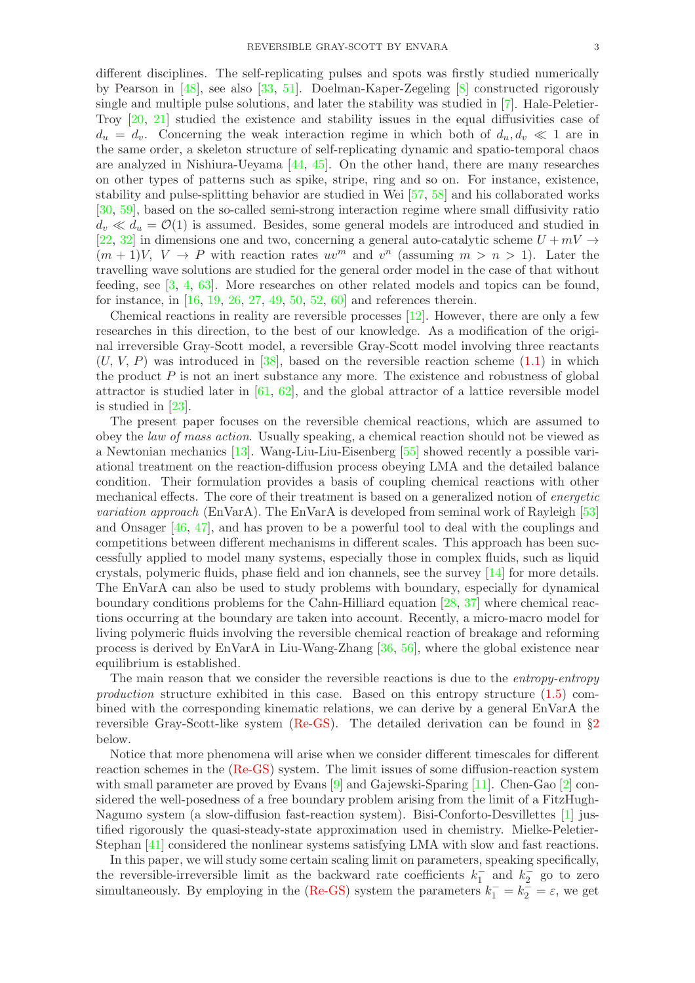different disciplines. The self-replicating pulses and spots was firstly studied numerically by Pearson in [\[48](#page-20-1)], see also [\[33](#page-19-6), [51\]](#page-20-2). Doelman-Kaper-Zegeling [\[8](#page-18-3)] constructed rigorously single and multiple pulse solutions, and later the stability was studied in [\[7](#page-18-4)]. Hale-Peletier-Troy [\[20](#page-18-5), [21](#page-18-6)] studied the existence and stability issues in the equal diffusivities case of  $d_u = d_v$ . Concerning the weak interaction regime in which both of  $d_u, d_v \ll 1$  are in the same order, a skeleton structure of self-replicating dynamic and spatio-temporal chaos are analyzed in Nishiura-Ueyama [\[44](#page-19-1), [45](#page-19-2)]. On the other hand, there are many researches on other types of patterns such as spike, stripe, ring and so on. For instance, existence, stability and pulse-splitting behavior are studied in Wei [\[57](#page-20-3), [58](#page-20-4)] and his collaborated works [\[30](#page-19-7), [59\]](#page-20-5), based on the so-called semi-strong interaction regime where small diffusivity ratio  $d_v \ll d_u = \mathcal{O}(1)$  is assumed. Besides, some general models are introduced and studied in [\[22](#page-18-7), [32](#page-19-8)] in dimensions one and two, concerning a general auto-catalytic scheme  $U + mV \rightarrow$  $(m+1)V$ ,  $V \rightarrow P$  with reaction rates  $uv^m$  and  $v^n$  (assuming  $m > n > 1$ ). Later the travelling wave solutions are studied for the general order model in the case of that without feeding, see [\[3,](#page-17-0) [4,](#page-18-8) [63\]](#page-20-6). More researches on other related models and topics can be found, for instance, in [\[16](#page-18-9), [19,](#page-18-10) [26](#page-19-9), [27,](#page-19-10) [49](#page-20-7), [50,](#page-20-8) [52](#page-20-9), [60](#page-20-10)] and references therein.

Chemical reactions in reality are reversible processes [\[12](#page-18-11)]. However, there are only a few researches in this direction, to the best of our knowledge. As a modification of the original irreversible Gray-Scott model, a reversible Gray-Scott model involving three reactants  $(U, V, P)$  was introduced in [\[38](#page-19-11)], based on the reversible reaction scheme  $(1.1)$  in which the product  $P$  is not an inert substance any more. The existence and robustness of global attractor is studied later in  $[61, 62]$  $[61, 62]$  $[61, 62]$ , and the global attractor of a lattice reversible model is studied in [\[23](#page-18-12)].

The present paper focuses on the reversible chemical reactions, which are assumed to obey the law of mass action. Usually speaking, a chemical reaction should not be viewed as a Newtonian mechanics [\[13\]](#page-18-13). Wang-Liu-Liu-Eisenberg [\[55](#page-20-13)] showed recently a possible variational treatment on the reaction-diffusion process obeying LMA and the detailed balance condition. Their formulation provides a basis of coupling chemical reactions with other mechanical effects. The core of their treatment is based on a generalized notion of energetic variation approach (EnVarA). The EnVarA is developed from seminal work of Rayleigh [\[53](#page-20-14)] and Onsager [\[46,](#page-19-12) [47](#page-19-13)], and has proven to be a powerful tool to deal with the couplings and competitions between different mechanisms in different scales. This approach has been successfully applied to model many systems, especially those in complex fluids, such as liquid crystals, polymeric fluids, phase field and ion channels, see the survey [\[14](#page-18-14)] for more details. The EnVarA can also be used to study problems with boundary, especially for dynamical boundary conditions problems for the Cahn-Hilliard equation [\[28,](#page-19-14) [37](#page-19-5)] where chemical reactions occurring at the boundary are taken into account. Recently, a micro-macro model for living polymeric fluids involving the reversible chemical reaction of breakage and reforming process is derived by EnVarA in Liu-Wang-Zhang [\[36,](#page-19-15) [56](#page-20-15)], where the global existence near equilibrium is established.

The main reason that we consider the reversible reactions is due to the *entropy-entropy* production structure exhibited in this case. Based on this entropy structure [\(1.5\)](#page-1-1) combined with the corresponding kinematic relations, we can derive by a general EnVarA the reversible Gray-Scott-like system [\(Re-GS\)](#page-0-0). The detailed derivation can be found in §[2](#page-7-0) below.

Notice that more phenomena will arise when we consider different timescales for different reaction schemes in the [\(Re-GS\)](#page-0-0) system. The limit issues of some diffusion-reaction system with small parameter are proved by Evans [\[9\]](#page-18-15) and Gajewski-Sparing [\[11](#page-18-16)]. Chen-Gao [\[2](#page-17-1)] considered the well-posedness of a free boundary problem arising from the limit of a FitzHugh-Nagumo system (a slow-diffusion fast-reaction system). Bisi-Conforto-Desvillettes [\[1\]](#page-17-2) justified rigorously the quasi-steady-state approximation used in chemistry. Mielke-Peletier-Stephan [\[41](#page-19-16)] considered the nonlinear systems satisfying LMA with slow and fast reactions.

In this paper, we will study some certain scaling limit on parameters, speaking specifically, the reversible-irreversible limit as the backward rate coefficients  $k_1^-$  and  $k_2^-$  go to zero simultaneously. By employing in the [\(Re-GS\)](#page-0-0) system the parameters  $k_1^- = k_2^- = \varepsilon$ , we get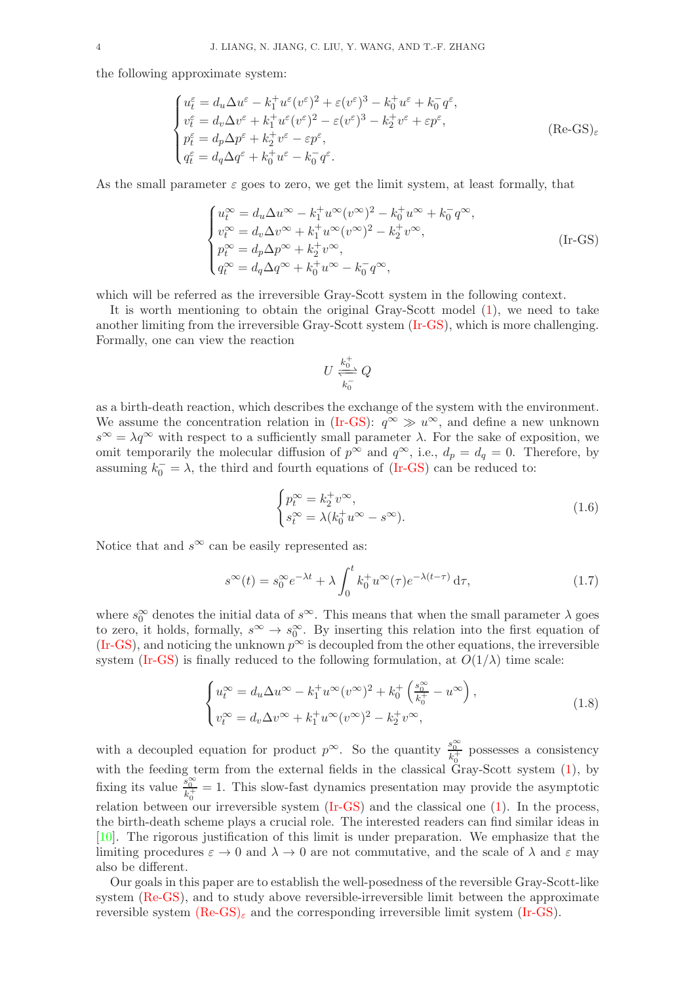the following approximate system:

$$
\begin{cases}\nu_{t}^{\varepsilon} = d_{u}\Delta u^{\varepsilon} - k_{1}^{+}u^{\varepsilon}(v^{\varepsilon})^{2} + \varepsilon(v^{\varepsilon})^{3} - k_{0}^{+}u^{\varepsilon} + k_{0}^{-}q^{\varepsilon},\nv_{t}^{\varepsilon} = d_{v}\Delta v^{\varepsilon} + k_{1}^{+}u^{\varepsilon}(v^{\varepsilon})^{2} - \varepsilon(v^{\varepsilon})^{3} - k_{2}^{+}v^{\varepsilon} + \varepsilon p^{\varepsilon},\np_{t}^{\varepsilon} = d_{p}\Delta p^{\varepsilon} + k_{2}^{+}v^{\varepsilon} - \varepsilon p^{\varepsilon},\nq_{t}^{\varepsilon} = d_{q}\Delta q^{\varepsilon} + k_{0}^{+}u^{\varepsilon} - k_{0}^{-}q^{\varepsilon}.\n\end{cases} (Re-GS)_{\varepsilon}
$$

As the small parameter  $\varepsilon$  goes to zero, we get the limit system, at least formally, that

$$
\begin{cases}\nu_t^{\infty} = d_u \Delta u^{\infty} - k_1^+ u^{\infty} (v^{\infty})^2 - k_0^+ u^{\infty} + k_0^- q^{\infty}, \\
v_t^{\infty} = d_v \Delta v^{\infty} + k_1^+ u^{\infty} (v^{\infty})^2 - k_2^+ v^{\infty}, \\
p_t^{\infty} = d_p \Delta p^{\infty} + k_2^+ v^{\infty}, \\
q_t^{\infty} = d_q \Delta q^{\infty} + k_0^+ u^{\infty} - k_0^- q^{\infty},\n\end{cases} \tag{Ir-GS}
$$

which will be referred as the irreversible Gray-Scott system in the following context.

It is worth mentioning to obtain the original Gray-Scott model [\(1\)](#page-1-0), we need to take another limiting from the irreversible Gray-Scott system [\(Ir-GS\)](#page-3-0), which is more challenging. Formally, one can view the reaction

<span id="page-3-1"></span><span id="page-3-0"></span>
$$
U \xleftarrow[k_0^+]{k_0^+} Q
$$

as a birth-death reaction, which describes the exchange of the system with the environment. We assume the concentration relation in [\(Ir-GS\)](#page-3-0):  $q^{\infty} \gg u^{\infty}$ , and define a new unknown  $s^{\infty} = \lambda q^{\infty}$  with respect to a sufficiently small parameter  $\lambda$ . For the sake of exposition, we omit temporarily the molecular diffusion of  $p^{\infty}$  and  $q^{\infty}$ , i.e.,  $d_p = d_q = 0$ . Therefore, by assuming  $k_0^- = \lambda$ , the third and fourth equations of [\(Ir-GS\)](#page-3-0) can be reduced to:

$$
\begin{cases} p_t^{\infty} = k_2^+ v^{\infty}, \\ s_t^{\infty} = \lambda (k_0^+ u^{\infty} - s^{\infty}). \end{cases}
$$
 (1.6)

Notice that and  $s^{\infty}$  can be easily represented as:

$$
s^{\infty}(t) = s_0^{\infty} e^{-\lambda t} + \lambda \int_0^t k_0^+ u^{\infty}(\tau) e^{-\lambda(t-\tau)} d\tau,
$$
\n(1.7)

where  $s_0^{\infty}$  denotes the initial data of  $s^{\infty}$ . This means that when the small parameter  $\lambda$  goes to zero, it holds, formally,  $s^{\infty} \to s_0^{\infty}$ . By inserting this relation into the first equation of [\(Ir-GS\)](#page-3-0), and noticing the unknown  $p^{\infty}$  is decoupled from the other equations, the irreversible system [\(Ir-GS\)](#page-3-0) is finally reduced to the following formulation, at  $O(1/\lambda)$  time scale:

$$
\begin{cases}\nu_t^{\infty} = d_u \Delta u^{\infty} - k_1^+ u^{\infty} (v^{\infty})^2 + k_0^+ \left( \frac{s_0^{\infty}}{k_0^+} - u^{\infty} \right), \\
v_t^{\infty} = d_v \Delta v^{\infty} + k_1^+ u^{\infty} (v^{\infty})^2 - k_2^+ v^{\infty},\n\end{cases} \tag{1.8}
$$

with a decoupled equation for product  $p^{\infty}$ . So the quantity  $\frac{s_0^{\infty}}{k_0^+}$  possesses a consistency with the feeding term from the external fields in the classical Gray-Scott system  $(1)$ , by fixing its value  $\frac{s_0^{\infty}}{k_0^+} = 1$ . This slow-fast dynamics presentation may provide the asymptotic relation between our irreversible system [\(Ir-GS\)](#page-3-0) and the classical one [\(1\)](#page-1-0). In the process, the birth-death scheme plays a crucial role. The interested readers can find similar ideas in [\[10](#page-18-17)]. The rigorous justification of this limit is under preparation. We emphasize that the limiting procedures  $\varepsilon \to 0$  and  $\lambda \to 0$  are not commutative, and the scale of  $\lambda$  and  $\varepsilon$  may also be different.

Our goals in this paper are to establish the well-posedness of the reversible Gray-Scott-like system [\(Re-GS\)](#page-0-0), and to study above reversible-irreversible limit between the approximate reversible system  $(Re-GS)_{\varepsilon}$  $(Re-GS)_{\varepsilon}$  and the corresponding irreversible limit system [\(Ir-GS\)](#page-3-0).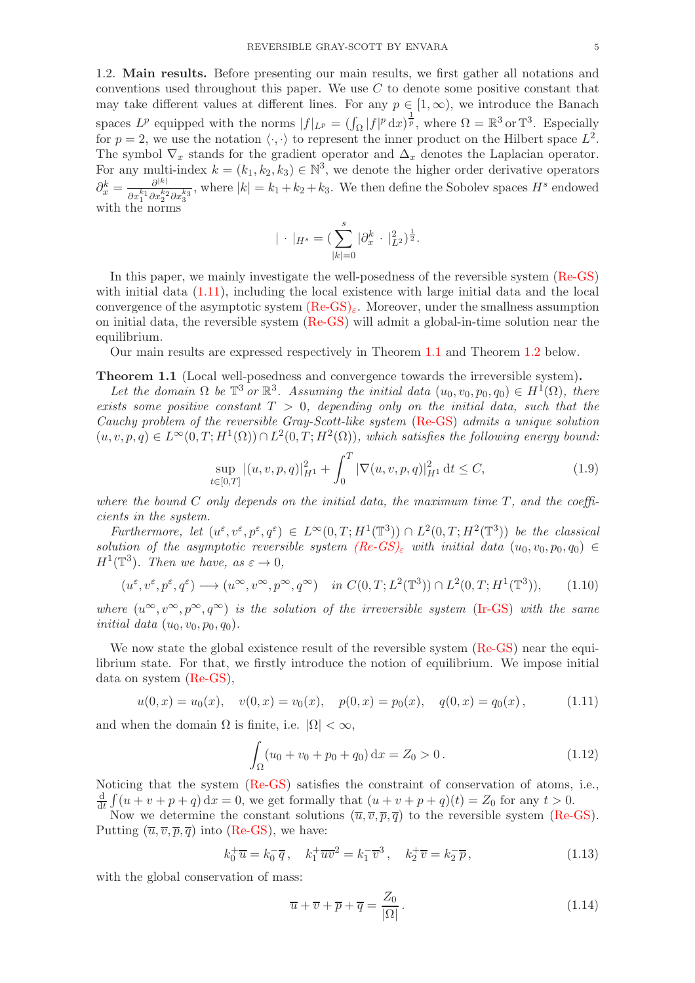1.2. Main results. Before presenting our main results, we first gather all notations and conventions used throughout this paper. We use  $C$  to denote some positive constant that may take different values at different lines. For any  $p \in [1,\infty)$ , we introduce the Banach spaces  $L^p$  equipped with the norms  $|f|_{L^p} = (\int_{\Omega} |f|^p dx)^{\frac{1}{p}}$ , where  $\Omega = \mathbb{R}^3$  or  $\mathbb{T}^3$ . Especially for  $p = 2$ , we use the notation  $\langle \cdot, \cdot \rangle$  to represent the inner product on the Hilbert space  $L^2$ . The symbol  $\nabla_x$  stands for the gradient operator and  $\Delta_x$  denotes the Laplacian operator. For any multi-index  $k = (k_1, k_2, k_3) \in \mathbb{N}^3$ , we denote the higher order derivative operators  $\partial_x^k = \frac{\partial^{|k|}}{\partial x^{k_1} \partial x^{k_2}}$  $\frac{\partial^{|k|}}{\partial x_1^{k_1} \partial x_2^{k_2} \partial x_3^{k_3}}$ , where  $|k| = k_1 + k_2 + k_3$ . We then define the Sobolev spaces  $H^s$  endowed with the norms

$$
|\cdot|_{H^s} = (\sum_{|k|=0}^s |\partial_x^k \cdot |_{L^2}^2)^{\frac{1}{2}}.
$$

In this paper, we mainly investigate the well-posedness of the reversible system [\(Re-GS\)](#page-0-0) with initial data  $(1.11)$ , including the local existence with large initial data and the local convergence of the asymptotic system  $(Re-GS)_{\epsilon}$  $(Re-GS)_{\epsilon}$ . Moreover, under the smallness assumption on initial data, the reversible system [\(Re-GS\)](#page-0-0) will admit a global-in-time solution near the equilibrium.

Our main results are expressed respectively in Theorem [1.1](#page-4-1) and Theorem [1.2](#page-5-1) below.

### <span id="page-4-1"></span>Theorem 1.1 (Local well-posedness and convergence towards the irreversible system).

Let the domain  $\Omega$  be  $\mathbb{T}^3$  or  $\mathbb{R}^3$ . Assuming the initial data  $(u_0, v_0, p_0, q_0) \in H^1(\Omega)$ , there exists some positive constant  $T > 0$ , depending only on the initial data, such that the Cauchy problem of the reversible Gray-Scott-like system [\(Re-GS\)](#page-0-0) admits a unique solution  $(u, v, p, q) \in L^{\infty}(0,T; H^{1}(\Omega)) \cap L^{2}(0,T; H^{2}(\Omega)),$  which satisfies the following energy bound:

$$
\sup_{t \in [0,T]} |(u,v,p,q)|_{H^1}^2 + \int_0^T |\nabla(u,v,p,q)|_{H^1}^2 \, \mathrm{d}t \le C,\tag{1.9}
$$

where the bound  $C$  only depends on the initial data, the maximum time  $T$ , and the coefficients in the system.

Furthermore, let  $(u^{\varepsilon}, v^{\varepsilon}, p^{\varepsilon}, q^{\varepsilon}) \in L^{\infty}(0,T; H^{1}(\mathbb{T}^{3})) \cap L^{2}(0,T; H^{2}(\mathbb{T}^{3}))$  be the classical solution of the asymptotic reversible system  $(Re\text{-}GS)_\varepsilon$  with initial data  $(u_0, v_0, p_0, q_0) \in$  $H^1(\mathbb{T}^3)$ . Then we have, as  $\varepsilon \to 0$ ,

$$
(u^{\varepsilon}, v^{\varepsilon}, p^{\varepsilon}, q^{\varepsilon}) \longrightarrow (u^{\infty}, v^{\infty}, p^{\infty}, q^{\infty}) \quad \text{in } C(0, T; L^{2}(\mathbb{T}^{3})) \cap L^{2}(0, T; H^{1}(\mathbb{T}^{3})), \tag{1.10}
$$

where  $(u^{\infty}, v^{\infty}, p^{\infty}, q^{\infty})$  is the solution of the irreversible system [\(Ir-GS\)](#page-3-0) with the same *initial data*  $(u_0, v_0, p_0, q_0)$ .

We now state the global existence result of the reversible system [\(Re-GS\)](#page-0-0) near the equilibrium state. For that, we firstly introduce the notion of equilibrium. We impose initial data on system [\(Re-GS\)](#page-0-0),

$$
u(0,x) = u_0(x), \quad v(0,x) = v_0(x), \quad p(0,x) = p_0(x), \quad q(0,x) = q_0(x), \tag{1.11}
$$

and when the domain  $\Omega$  is finite, i.e.  $|\Omega| < \infty$ ,

<span id="page-4-0"></span>
$$
\int_{\Omega} (u_0 + v_0 + p_0 + q_0) \, \mathrm{d}x = Z_0 > 0. \tag{1.12}
$$

Noticing that the system [\(Re-GS\)](#page-0-0) satisfies the constraint of conservation of atoms, i.e.,  $\frac{d}{dt} \int (u + v + p + q) dx = 0$ , we get formally that  $(u + v + p + q)(t) = Z_0$  for any  $t > 0$ .

Now we determine the constant solutions  $(\overline{u}, \overline{v}, \overline{p}, \overline{q})$  to the reversible system [\(Re-GS\)](#page-0-0). Putting  $(\overline{u}, \overline{v}, \overline{p}, \overline{q})$  into [\(Re-GS\)](#page-0-0), we have:

<span id="page-4-2"></span>
$$
k_0^+ \overline{u} = k_0^- \overline{q}, \quad k_1^+ \overline{u v}^2 = k_1^- \overline{v}^3, \quad k_2^+ \overline{v} = k_2^- \overline{p}, \tag{1.13}
$$

with the global conservation of mass:

<span id="page-4-3"></span>
$$
\overline{u} + \overline{v} + \overline{p} + \overline{q} = \frac{Z_0}{|\Omega|}.
$$
\n(1.14)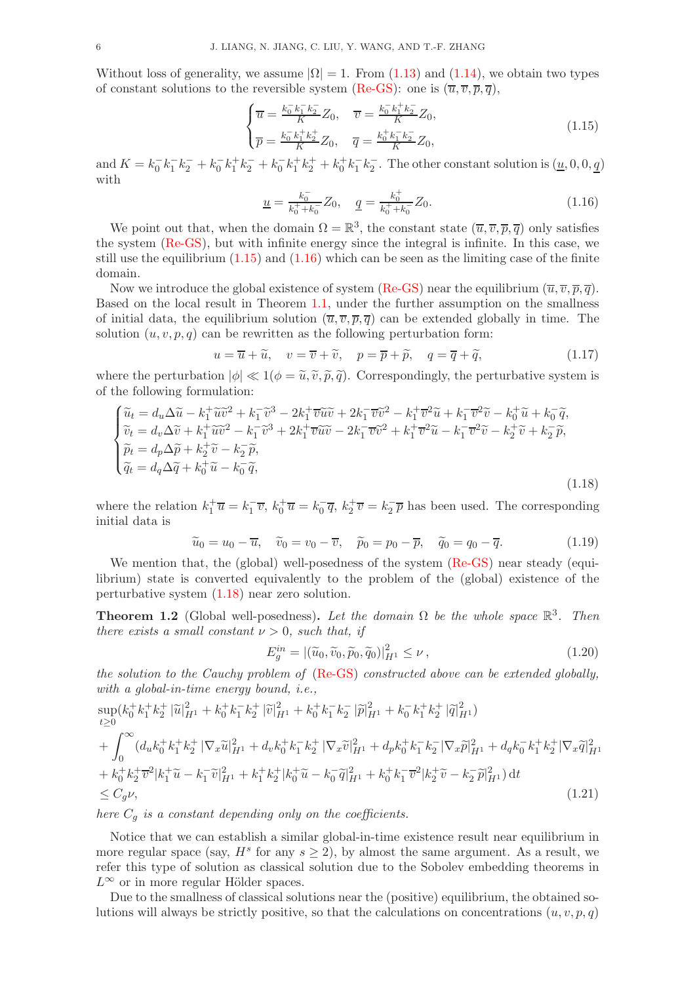Without loss of generality, we assume  $|\Omega| = 1$ . From [\(1.13\)](#page-4-2) and [\(1.14\)](#page-4-3), we obtain two types of constant solutions to the reversible system [\(Re-GS\)](#page-0-0): one is  $(\overline{u}, \overline{v}, \overline{p}, \overline{q})$ ,

$$
\begin{cases}\n\overline{u} = \frac{k_0^- k_1^- k_2^-}{K} Z_0, & \overline{v} = \frac{k_0^- k_1^+ k_2^-}{K} Z_0, \\
\overline{p} = \frac{k_0^- k_1^+ k_2^+}{K} Z_0, & \overline{q} = \frac{k_0^+ k_1^- k_2^-}{K} Z_0,\n\end{cases}
$$
\n(1.15)

and  $K = k_0^- k_1^- k_2^- + k_0^- k_1^+ k_2^- + k_0^- k_1^+ k_2^+ + k_0^+ k_1^- k_2^-$ . The other constant solution is  $(\underline{u}, 0, 0, \underline{q})$ with

<span id="page-5-2"></span><span id="page-5-0"></span>
$$
\underline{u} = \frac{k_0^-}{k_0^+ + k_0^-} Z_0, \quad \underline{q} = \frac{k_0^+}{k_0^+ + k_0^-} Z_0.
$$
\n(1.16)

We point out that, when the domain  $\Omega = \mathbb{R}^3$ , the constant state  $(\overline{u}, \overline{v}, \overline{p}, \overline{q})$  only satisfies the system [\(Re-GS\)](#page-0-0), but with infinite energy since the integral is infinite. In this case, we still use the equilibrium [\(1.15\)](#page-5-0) and [\(1.16\)](#page-5-2) which can be seen as the limiting case of the finite domain.

Now we introduce the global existence of system [\(Re-GS\)](#page-0-0) near the equilibrium  $(\overline{u}, \overline{v}, \overline{p}, \overline{q})$ . Based on the local result in Theorem [1.1,](#page-4-1) under the further assumption on the smallness of initial data, the equilibrium solution  $(\overline{u}, \overline{v}, \overline{p}, \overline{q})$  can be extended globally in time. The solution  $(u, v, p, q)$  can be rewritten as the following perturbation form:

$$
u = \overline{u} + \widetilde{u}, \quad v = \overline{v} + \widetilde{v}, \quad p = \overline{p} + \widetilde{p}, \quad q = \overline{q} + \widetilde{q}, \tag{1.17}
$$

where the perturbation  $|\phi| \ll 1(\phi = \tilde{u}, \tilde{v}, \tilde{p}, \tilde{q})$ . Correspondingly, the perturbative system is of the following formulation:

$$
\begin{cases}\n\widetilde{u}_t = d_u \Delta \widetilde{u} - k_1^+ \widetilde{u} \widetilde{v}^2 + k_1^- \widetilde{v}^3 - 2k_1^+ \overline{v} \widetilde{u} \widetilde{v} + 2k_1^- \overline{v} \widetilde{v}^2 - k_1^+ \overline{v}^2 \widetilde{u} + k_1^- \overline{v}^2 \widetilde{v} - k_0^+ \widetilde{u} + k_0^- \widetilde{q}, \\
\widetilde{v}_t = d_v \Delta \widetilde{v} + k_1^+ \widetilde{u} \widetilde{v}^2 - k_1^- \widetilde{v}^3 + 2k_1^+ \overline{v} \widetilde{u} \widetilde{v} - 2k_1^- \overline{v} \widetilde{v}^2 + k_1^+ \overline{v}^2 \widetilde{u} - k_1^- \overline{v}^2 \widetilde{v} - k_2^+ \widetilde{v} + k_2^- \widetilde{p}, \\
\widetilde{p}_t = d_p \Delta \widetilde{p} + k_2^+ \widetilde{v} - k_2^- \widetilde{p}, \\
\widetilde{q}_t = d_q \Delta \widetilde{q} + k_0^+ \widetilde{u} - k_0^- \widetilde{q},\n\end{cases} \tag{1.18}
$$

where the relation  $k_1^+\overline{u} = k_1^-\overline{v}$ ,  $k_0^+\overline{u} = k_0^-\overline{q}$ ,  $k_2^+\overline{v} = k_2^-\overline{p}$  has been used. The corresponding initial data is

$$
\widetilde{u}_0 = u_0 - \overline{u}, \quad \widetilde{v}_0 = v_0 - \overline{v}, \quad \widetilde{p}_0 = p_0 - \overline{p}, \quad \widetilde{q}_0 = q_0 - \overline{q}.
$$
\n(1.19)

We mention that, the (global) well-posedness of the system [\(Re-GS\)](#page-0-0) near steady (equilibrium) state is converted equivalently to the problem of the (global) existence of the perturbative system [\(1.18\)](#page-5-3) near zero solution.

<span id="page-5-1"></span>**Theorem 1.2** (Global well-posedness). Let the domain  $\Omega$  be the whole space  $\mathbb{R}^3$ . Then there exists a small constant  $\nu > 0$ , such that, if

<span id="page-5-3"></span>
$$
E_g^{in} = |(\widetilde{u}_0, \widetilde{v}_0, \widetilde{p}_0, \widetilde{q}_0)|_{H^1}^2 \le \nu, \qquad (1.20)
$$

the solution to the Cauchy problem of [\(Re-GS\)](#page-0-0) constructed above can be extended globally, with a global-in-time energy bound, i.e.,

$$
\sup_{t\geq 0} (k_0^+ k_1^+ k_2^+ |\tilde{u}|_{H^1}^2 + k_0^+ k_1^- k_2^+ |\tilde{v}|_{H^1}^2 + k_0^+ k_1^- k_2^- |\tilde{p}|_{H^1}^2 + k_0^- k_1^+ k_2^+ |\tilde{q}|_{H^1}^2)
$$
  
+ 
$$
\int_0^\infty (d_u k_0^+ k_1^+ k_2^+ |\nabla_x \tilde{u}|_{H^1}^2 + d_v k_0^+ k_1^- k_2^+ |\nabla_x \tilde{v}|_{H^1}^2 + d_p k_0^+ k_1^- k_2^- |\nabla_x \tilde{p}|_{H^1}^2 + d_q k_0^- k_1^+ k_2^+ |\nabla_x \tilde{q}|_{H^1}^2
$$
  
+ 
$$
k_0^+ k_2^+ \overline{v}^2 |k_1^+ \tilde{u} - k_1^- \tilde{v}|_{H^1}^2 + k_1^+ k_2^+ |k_0^+ \tilde{u} - k_0^- \tilde{q}|_{H^1}^2 + k_0^+ k_1^- \overline{v}^2 |k_2^+ \tilde{v} - k_2^- \tilde{p}|_{H^1}^2) dt
$$
  

$$
\leq C_g \nu,
$$
 (1.21)

here  $C_q$  is a constant depending only on the coefficients.

Notice that we can establish a similar global-in-time existence result near equilibrium in more regular space (say,  $H^s$  for any  $s \geq 2$ ), by almost the same argument. As a result, we refer this type of solution as classical solution due to the Sobolev embedding theorems in  $L^{\infty}$  or in more regular Hölder spaces.

Due to the smallness of classical solutions near the (positive) equilibrium, the obtained solutions will always be strictly positive, so that the calculations on concentrations  $(u, v, p, q)$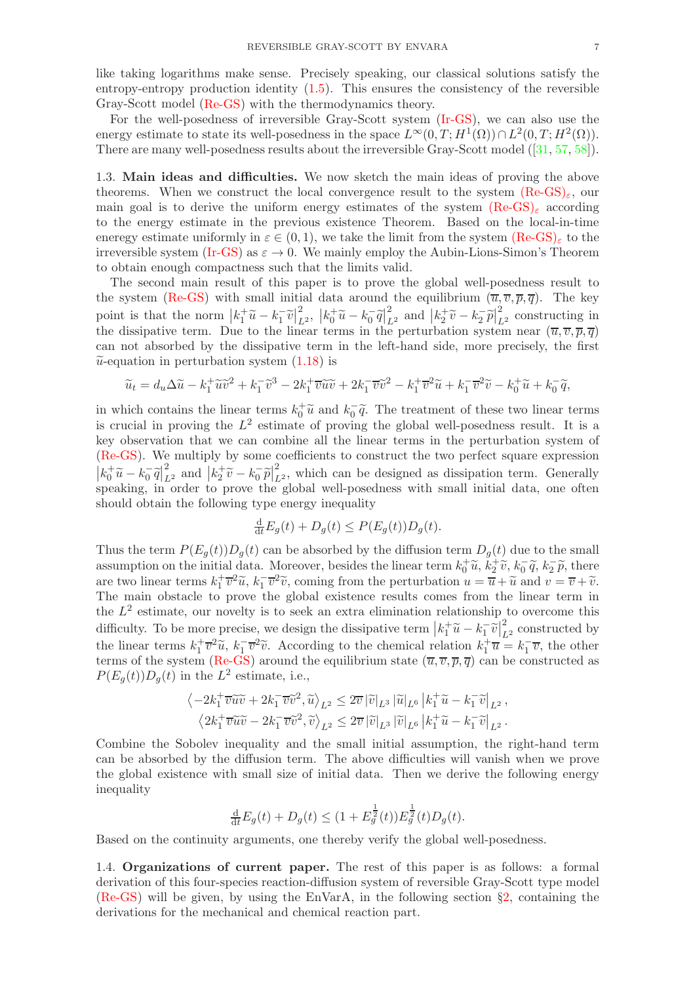like taking logarithms make sense. Precisely speaking, our classical solutions satisfy the entropy-entropy production identity [\(1.5\)](#page-1-1). This ensures the consistency of the reversible Gray-Scott model [\(Re-GS\)](#page-0-0) with the thermodynamics theory.

For the well-posedness of irreversible Gray-Scott system [\(Ir-GS\)](#page-3-0), we can also use the energy estimate to state its well-posedness in the space  $L^{\infty}(0,T;H^1(\Omega)) \cap L^2(0,T;H^2(\Omega)).$ There are many well-posedness results about the irreversible Gray-Scott model ([\[31,](#page-19-17) [57](#page-20-3), [58\]](#page-20-4)).

1.3. Main ideas and difficulties. We now sketch the main ideas of proving the above theorems. When we construct the local convergence result to the system  $(Re-GS)_{\varepsilon}$  $(Re-GS)_{\varepsilon}$ , our main goal is to derive the uniform energy estimates of the system  $(Re-GS)_{\varepsilon}$  $(Re-GS)_{\varepsilon}$  according to the energy estimate in the previous existence Theorem. Based on the local-in-time eneregy estimate uniformly in  $\varepsilon \in (0, 1)$ , we take the limit from the system  $(Re-GS)_{\varepsilon}$  $(Re-GS)_{\varepsilon}$  to the irreversible system [\(Ir-GS\)](#page-3-0) as  $\varepsilon \to 0$ . We mainly employ the Aubin-Lions-Simon's Theorem to obtain enough compactness such that the limits valid.

The second main result of this paper is to prove the global well-posedness result to the system [\(Re-GS\)](#page-0-0) with small initial data around the equilibrium  $(\overline{u}, \overline{v}, \overline{p}, \overline{q})$ . The key point is that the norm  $\left|k_1^+\widetilde{u}-k_1^-\widetilde{v}\right|_L^2$  $\int_{L^2}^2 k_0 + \tilde{u} - k_0 - \tilde{q} \vert_{L^2}^2$  and  $\left| k_2 + \tilde{v} - k_2 - \tilde{p} \right|_{L^2}^2$  constructing in the dissipative term. Due to the linear terms in the perturbation system near  $(\overline{u}, \overline{v}, \overline{p}, \overline{q})$ can not absorbed by the dissipative term in the left-hand side, more precisely, the first  $\tilde{u}$ -equation in perturbation system  $(1.18)$  is

$$
\widetilde{u}_t = d_u \Delta \widetilde{u} - k_1^+ \widetilde{u} \widetilde{v}^2 + k_1^- \widetilde{v}^3 - 2k_1^+ \overline{v} \widetilde{u} \widetilde{v} + 2k_1^- \overline{v} \widetilde{v}^2 - k_1^+ \overline{v}^2 \widetilde{u} + k_1^- \overline{v}^2 \widetilde{v} - k_0^+ \widetilde{u} + k_0^- \widetilde{q},
$$

in which contains the linear terms  $k_0^{\dagger} \tilde{u}$  and  $k_0^{\dagger} \tilde{q}$ . The treatment of these two linear terms is crucial in proving the  $L^2$  estimate of proving the global well-posedness result. It is a key observation that we can combine all the linear terms in the perturbation system of [\(Re-GS\)](#page-0-0). We multiply by some coefficients to construct the two perfect square expression  $\left| k_0^+ \widetilde{u} - k_0^- \widetilde{q} \right|_{L^2}^2$  and  $\left| k_2^+ \widetilde{v} - k_0^- \widetilde{p} \right|_L^2$  $\mathcal{L}_L^2$ , which can be designed as dissipation term. Generally speaking, in order to prove the global well-posedness with small initial data, one often should obtain the following type energy inequality

$$
\frac{\mathrm{d}}{\mathrm{d}t}E_g(t) + D_g(t) \le P(E_g(t))D_g(t).
$$

Thus the term  $P(E_g(t))D_g(t)$  can be absorbed by the diffusion term  $D_g(t)$  due to the small assumption on the initial data. Moreover, besides the linear term  $k_0^+ \tilde{u}$ ,  $k_2^+ \tilde{v}$ ,  $k_0^- \tilde{q}$ ,  $k_2^- \tilde{p}$ , there are two linear terms  $k_1^+\overline{v}^2\widetilde{u}$ ,  $k_1^-\overline{v}^2\widetilde{v}$ , coming from the perturbation  $u = \overline{u} + \widetilde{u}$  and  $v = \overline{v} + \widetilde{v}$ .<br>The main absteaks to prove the global overtence negular comes from the linear term The main obstacle to prove the global existence results comes from the linear term in the  $L^2$  estimate, our novelty is to seek an extra elimination relationship to overcome this difficulty. To be more precise, we design the dissipative term  $\left|k_1^+\widetilde{u}-k_1^-\widetilde{v}\right|_{L^2}^2$  constructed by the linear terms  $k_1^+\overline{v}^2\widetilde{u}$ ,  $k_1^-\overline{v}^2\widetilde{v}$ . According to the chemical relation  $k_1^+\overline{u} = k_1^-\overline{v}$ , the other terms of the system [\(Re-GS\)](#page-0-0) around the equilibrium state  $(\overline{u}, \overline{v}, \overline{p}, \overline{q})$  can be constructed as  $P(E_g(t))D_g(t)$  in the  $L^2$  estimate, i.e.,

$$
\begin{aligned}\n\left\langle -2k_1^+\overline{v}\widetilde{u}\widetilde{v}+2k_1^-\overline{v}\widetilde{v}^2,\widetilde{u}\right\rangle_{L^2} &\leq 2\overline{v}\left|\widetilde{v}\right|_{L^3}\left|\widetilde{u}\right|_{L^6}\left|k_1^+\widetilde{u}-k_1^-\widetilde{v}\right|_{L^2},\\
\left\langle 2k_1^+\overline{v}\widetilde{u}\widetilde{v}-2k_1^-\overline{v}\widetilde{v}^2,\widetilde{v}\right\rangle_{L^2} &\leq 2\overline{v}\left|\widetilde{v}\right|_{L^3}\left|\widetilde{v}\right|_{L^6}\left|k_1^+\widetilde{u}-k_1^-\widetilde{v}\right|_{L^2}.\n\end{aligned}
$$

Combine the Sobolev inequality and the small initial assumption, the right-hand term can be absorbed by the diffusion term. The above difficulties will vanish when we prove the global existence with small size of initial data. Then we derive the following energy inequality

$$
\frac{\mathrm{d}}{\mathrm{d}t}E_g(t) + D_g(t) \le (1 + E_g^{\frac{1}{2}}(t))E_g^{\frac{1}{2}}(t)D_g(t).
$$

Based on the continuity arguments, one thereby verify the global well-posedness.

1.4. Organizations of current paper. The rest of this paper is as follows: a formal derivation of this four-species reaction-diffusion system of reversible Gray-Scott type model [\(Re-GS\)](#page-0-0) will be given, by using the EnVarA, in the following section §[2,](#page-7-0) containing the derivations for the mechanical and chemical reaction part.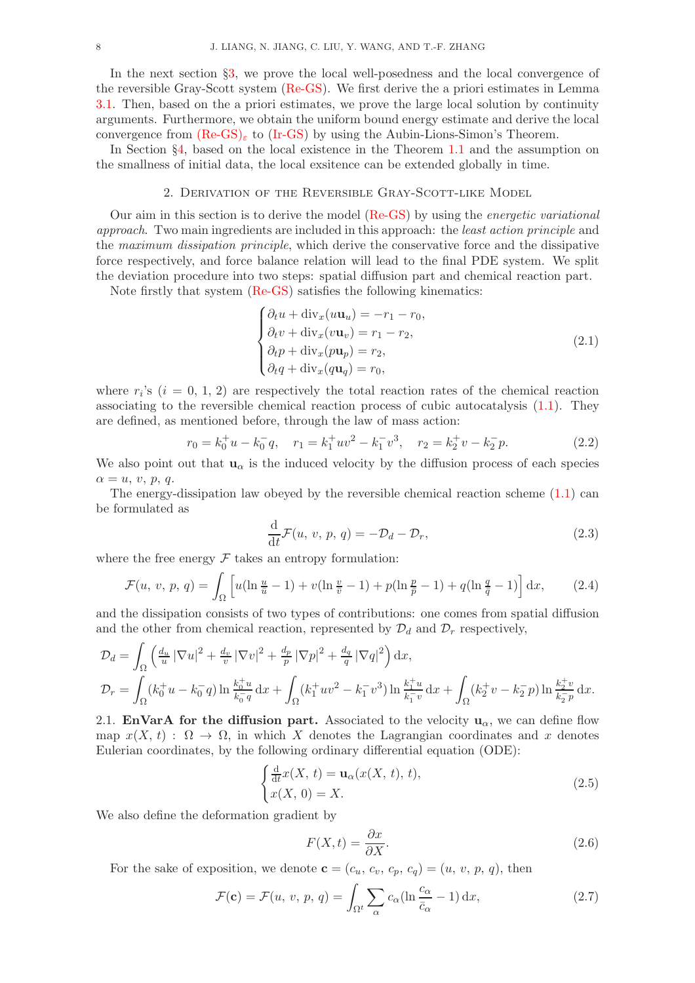In the next section §[3,](#page-9-0) we prove the local well-posedness and the local convergence of the reversible Gray-Scott system [\(Re-GS\)](#page-0-0). We first derive the a priori estimates in Lemma [3.1.](#page-10-0) Then, based on the a priori estimates, we prove the large local solution by continuity arguments. Furthermore, we obtain the uniform bound energy estimate and derive the local convergence from  $(Re-GS)_\varepsilon$  $(Re-GS)_\varepsilon$  to  $(Ir-GS)$  by using the Aubin-Lions-Simon's Theorem.

<span id="page-7-0"></span>In Section §[4,](#page-14-0) based on the local existence in the Theorem [1.1](#page-4-1) and the assumption on the smallness of initial data, the local exsitence can be extended globally in time.

### 2. Derivation of the Reversible Gray-Scott-like Model

Our aim in this section is to derive the model [\(Re-GS\)](#page-0-0) by using the energetic variational approach. Two main ingredients are included in this approach: the least action principle and the maximum dissipation principle, which derive the conservative force and the dissipative force respectively, and force balance relation will lead to the final PDE system. We split the deviation procedure into two steps: spatial diffusion part and chemical reaction part.

Note firstly that system [\(Re-GS\)](#page-0-0) satisfies the following kinematics:

<span id="page-7-1"></span>
$$
\begin{cases}\n\partial_t u + \operatorname{div}_x(u\mathbf{u}_u) = -r_1 - r_0, \\
\partial_t v + \operatorname{div}_x(v\mathbf{u}_v) = r_1 - r_2, \\
\partial_t p + \operatorname{div}_x(p\mathbf{u}_p) = r_2, \\
\partial_t q + \operatorname{div}_x(q\mathbf{u}_q) = r_0,\n\end{cases}
$$
\n(2.1)

where  $r_i$ 's  $(i = 0, 1, 2)$  are respectively the total reaction rates of the chemical reaction associating to the reversible chemical reaction process of cubic autocatalysis [\(1.1\)](#page-0-1). They are defined, as mentioned before, through the law of mass action:

$$
r_0 = k_0^+ u - k_0^- q, \quad r_1 = k_1^+ u v^2 - k_1^- v^3, \quad r_2 = k_2^+ v - k_2^- p. \tag{2.2}
$$

We also point out that  $\mathbf{u}_{\alpha}$  is the induced velocity by the diffusion process of each species  $\alpha = u, v, p, q.$ 

The energy-dissipation law obeyed by the reversible chemical reaction scheme  $(1.1)$  can be formulated as

<span id="page-7-2"></span>
$$
\frac{\mathrm{d}}{\mathrm{d}t}\mathcal{F}(u, v, p, q) = -\mathcal{D}_d - \mathcal{D}_r,\tag{2.3}
$$

where the free energy  $\mathcal F$  takes an entropy formulation:

$$
\mathcal{F}(u, v, p, q) = \int_{\Omega} \left[ u(\ln \frac{u}{\bar{u}} - 1) + v(\ln \frac{v}{\bar{v}} - 1) + p(\ln \frac{p}{\bar{p}} - 1) + q(\ln \frac{q}{\bar{q}} - 1) \right] dx, \tag{2.4}
$$

and the dissipation consists of two types of contributions: one comes from spatial diffusion and the other from chemical reaction, represented by  $\mathcal{D}_d$  and  $\mathcal{D}_r$  respectively,

$$
\mathcal{D}_d = \int_{\Omega} \left( \frac{d_u}{u} |\nabla u|^2 + \frac{d_v}{v} |\nabla v|^2 + \frac{d_p}{p} |\nabla p|^2 + \frac{d_q}{q} |\nabla q|^2 \right) dx,
$$
  

$$
\mathcal{D}_r = \int_{\Omega} (k_0^+ u - k_0^- q) \ln \frac{k_0^+ u}{k_0^- q} dx + \int_{\Omega} (k_1^+ u v^2 - k_1^- v^3) \ln \frac{k_1^+ u}{k_1^- v} dx + \int_{\Omega} (k_2^+ v - k_2^- p) \ln \frac{k_2^+ v}{k_2^- p} dx.
$$

2.1. EnVarA for the diffusion part. Associated to the velocity  $u_{\alpha}$ , we can define flow map  $x(X, t): \Omega \to \Omega$ , in which X denotes the Lagrangian coordinates and x denotes Eulerian coordinates, by the following ordinary differential equation (ODE):

$$
\begin{cases} \frac{\mathrm{d}}{\mathrm{d}t}x(X, t) = \mathbf{u}_{\alpha}(x(X, t), t), \\ x(X, 0) = X. \end{cases}
$$
\n(2.5)

We also define the deformation gradient by

$$
F(X,t) = \frac{\partial x}{\partial X}.\tag{2.6}
$$

For the sake of exposition, we denote  $\mathbf{c} = (c_u, c_v, c_p, c_q) = (u, v, p, q)$ , then

$$
\mathcal{F}(\mathbf{c}) = \mathcal{F}(u, v, p, q) = \int_{\Omega^t} \sum_{\alpha} c_{\alpha} (\ln \frac{c_{\alpha}}{\bar{c}_{\alpha}} - 1) \, dx,\tag{2.7}
$$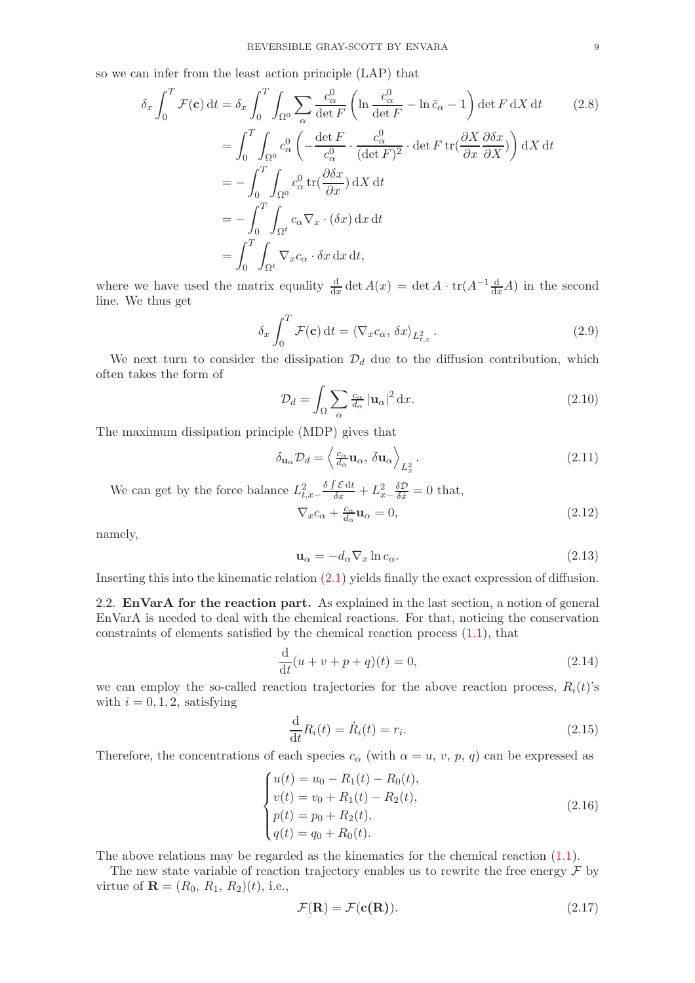so we can infer from the least action principle (LAP) that

$$
\delta_x \int_0^T \mathcal{F}(\mathbf{c}) dt = \delta_x \int_0^T \int_{\Omega^0} \sum_{\alpha} \frac{c_{\alpha}^0}{\det F} \left( \ln \frac{c_{\alpha}^0}{\det F} - \ln \bar{c}_{\alpha} - 1 \right) \det F dX dt \qquad (2.8)
$$
  

$$
= \int_0^T \int_{\Omega^0} c_{\alpha}^0 \left( -\frac{\det F}{c_{\alpha}^0} \cdot \frac{c_{\alpha}^0}{(\det F)^2} \cdot \det F \operatorname{tr}(\frac{\partial X}{\partial x} \frac{\partial \delta x}{\partial X}) \right) dX dt
$$
  

$$
= -\int_0^T \int_{\Omega^0} c_{\alpha}^0 \operatorname{tr}(\frac{\partial \delta x}{\partial x}) dX dt
$$
  

$$
= -\int_0^T \int_{\Omega^t} c_{\alpha} \nabla_x \cdot (\delta x) dx dt
$$
  

$$
= \int_0^T \int_{\Omega^t} \nabla_x c_{\alpha} \cdot \delta x dx dt,
$$

where we have used the matrix equality  $\frac{d}{dx} \det A(x) = \det A \cdot \text{tr}(A^{-1} \frac{d}{dx} A)$  in the second line. We thus get

$$
\delta_x \int_0^T \mathcal{F}(\mathbf{c}) dt = \langle \nabla_x c_\alpha, \delta x \rangle_{L^2_{t,x}}.
$$
\n(2.9)

We next turn to consider the dissipation  $\mathcal{D}_d$  due to the diffusion contribution, which often takes the form of

$$
\mathcal{D}_d = \int_{\Omega} \sum_{\alpha} \frac{c_{\alpha}}{d_{\alpha}} |\mathbf{u}_{\alpha}|^2 \, \mathrm{d}x. \tag{2.10}
$$

The maximum dissipation principle (MDP) gives that

$$
\delta_{\mathbf{u}_{\alpha}} \mathcal{D}_d = \left\langle \frac{c_{\alpha}}{d_{\alpha}} \mathbf{u}_{\alpha}, \, \delta \mathbf{u}_{\alpha} \right\rangle_{L_x^2} . \tag{2.11}
$$

We can get by the force balance  $L^2_{t,x-1}$  $\frac{\delta \int \mathcal{E} dt}{\delta x} + L_{x-\frac{\delta \mathcal{D}}{\delta x}}^2 = 0$  that,  $\nabla_x c_\alpha + \frac{c_\alpha}{d_\alpha}$  $\frac{c_{\alpha}}{d_{\alpha}}\mathbf{u}_{\alpha} = 0,$ (2.12)

namely,

$$
\mathbf{u}_{\alpha} = -d_{\alpha} \nabla_x \ln c_{\alpha}.\tag{2.13}
$$

Inserting this into the kinematic relation [\(2.1\)](#page-7-1) yields finally the exact expression of diffusion.

2.2. EnVarA for the reaction part. As explained in the last section, a notion of general EnVarA is needed to deal with the chemical reactions. For that, noticing the conservation constraints of elements satisfied by the chemical reaction process [\(1.1\)](#page-0-1), that

$$
\frac{d}{dt}(u+v+p+q)(t) = 0,
$$
\n(2.14)

we can employ the so-called reaction trajectories for the above reaction process,  $R_i(t)$ 's with  $i = 0, 1, 2$ , satisfying

$$
\frac{\mathrm{d}}{\mathrm{d}t}R_i(t) = \dot{R}_i(t) = r_i.
$$
\n(2.15)

Therefore, the concentrations of each species  $c_{\alpha}$  (with  $\alpha = u, v, p, q$ ) can be expressed as

$$
\begin{cases}\nu(t) = u_0 - R_1(t) - R_0(t), \\
v(t) = v_0 + R_1(t) - R_2(t), \\
p(t) = p_0 + R_2(t), \\
q(t) = q_0 + R_0(t).\n\end{cases} (2.16)
$$

The above relations may be regarded as the kinematics for the chemical reaction [\(1.1\)](#page-0-1).

The new state variable of reaction trajectory enables us to rewrite the free energy  $\mathcal F$  by virtue of **, i.e.,** 

$$
\mathcal{F}(\mathbf{R}) = \mathcal{F}(\mathbf{c}(\mathbf{R})).\tag{2.17}
$$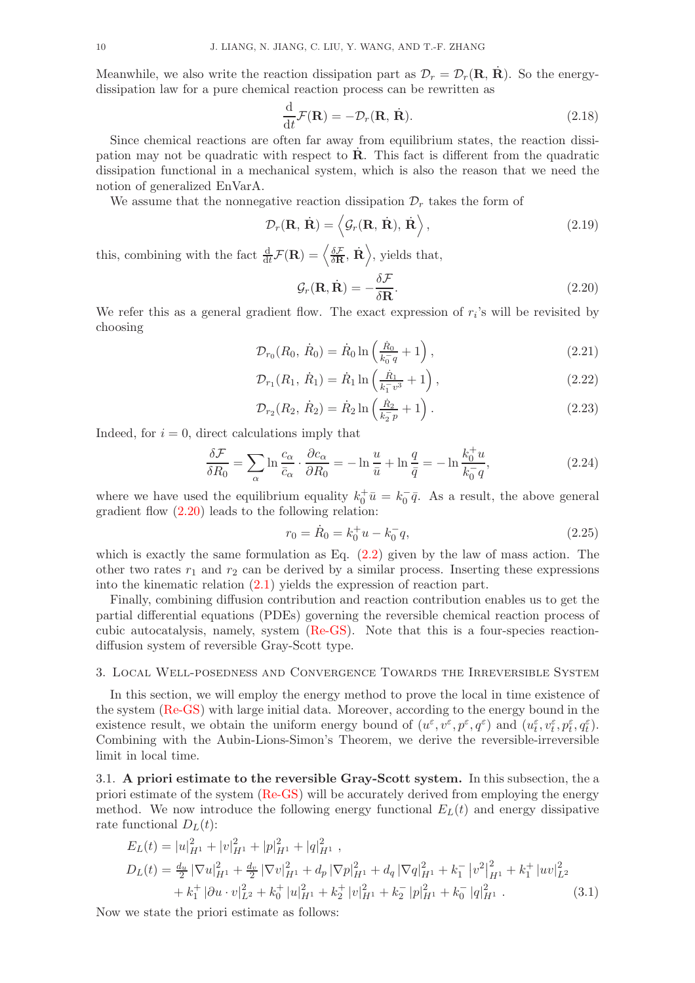Meanwhile, we also write the reaction dissipation part as  $\mathcal{D}_r = \mathcal{D}_r(\mathbf{R}, \mathbf{R})$ . So the energydissipation law for a pure chemical reaction process can be rewritten as

$$
\frac{\mathrm{d}}{\mathrm{d}t}\mathcal{F}(\mathbf{R}) = -\mathcal{D}_r(\mathbf{R}, \dot{\mathbf{R}}). \tag{2.18}
$$

Since chemical reactions are often far away from equilibrium states, the reaction dissipation may not be quadratic with respect to  $\dot{\mathbf{R}}$ . This fact is different from the quadratic dissipation functional in a mechanical system, which is also the reason that we need the notion of generalized EnVarA.

We assume that the nonnegative reaction dissipation  $\mathcal{D}_r$  takes the form of

$$
\mathcal{D}_r(\mathbf{R}, \dot{\mathbf{R}}) = \langle \mathcal{G}_r(\mathbf{R}, \dot{\mathbf{R}}), \dot{\mathbf{R}} \rangle, \qquad (2.19)
$$

this, combining with the fact  $\frac{d}{dt}\mathcal{F}(\mathbf{R}) = \left\langle \frac{\delta \mathcal{F}}{\delta \mathbf{R}}, \dot{\mathbf{R}} \right\rangle$ , yields that,

<span id="page-9-1"></span>
$$
\mathcal{G}_r(\mathbf{R}, \dot{\mathbf{R}}) = -\frac{\delta \mathcal{F}}{\delta \mathbf{R}}.
$$
\n(2.20)

We refer this as a general gradient flow. The exact expression of  $r_i$ 's will be revisited by choosing

$$
\mathcal{D}_{r_0}(R_0, \dot{R}_0) = \dot{R}_0 \ln\left(\frac{\dot{R}_0}{k_0 - q} + 1\right),\tag{2.21}
$$

$$
\mathcal{D}_{r_1}(R_1, \dot{R}_1) = \dot{R}_1 \ln \left( \frac{\dot{R}_1}{k_1^2 v^3} + 1 \right), \qquad (2.22)
$$

$$
\mathcal{D}_{r_2}(R_2, \dot{R}_2) = \dot{R}_2 \ln\left(\frac{\dot{R}_2}{k_2^2 p} + 1\right). \tag{2.23}
$$

Indeed, for  $i = 0$ , direct calculations imply that

$$
\frac{\delta \mathcal{F}}{\delta R_0} = \sum_{\alpha} \ln \frac{c_{\alpha}}{\bar{c}_{\alpha}} \cdot \frac{\partial c_{\alpha}}{\partial R_0} = -\ln \frac{u}{\bar{u}} + \ln \frac{q}{\bar{q}} = -\ln \frac{k_0^+ u}{k_0^- q},\tag{2.24}
$$

where we have used the equilibrium equality  $k_0^+ \bar{u} = k_0^- \bar{q}$ . As a result, the above general gradient flow [\(2.20\)](#page-9-1) leads to the following relation:

$$
r_0 = \dot{R}_0 = k_0^+ u - k_0^- q,\tag{2.25}
$$

which is exactly the same formulation as Eq.  $(2.2)$  given by the law of mass action. The other two rates  $r_1$  and  $r_2$  can be derived by a similar process. Inserting these expressions into the kinematic relation [\(2.1\)](#page-7-1) yields the expression of reaction part.

Finally, combining diffusion contribution and reaction contribution enables us to get the partial differential equations (PDEs) governing the reversible chemical reaction process of cubic autocatalysis, namely, system [\(Re-GS\)](#page-0-0). Note that this is a four-species reactiondiffusion system of reversible Gray-Scott type.

### <span id="page-9-0"></span>3. Local Well-posedness and Convergence Towards the Irreversible System

In this section, we will employ the energy method to prove the local in time existence of the system [\(Re-GS\)](#page-0-0) with large initial data. Moreover, according to the energy bound in the existence result, we obtain the uniform energy bound of  $(u^{\varepsilon}, v^{\varepsilon}, p^{\varepsilon}, q^{\varepsilon})$  and  $(u^{\varepsilon}_{t}, v^{\varepsilon}_{t}, p^{\varepsilon}_{t}, q^{\varepsilon}_{t}).$ Combining with the Aubin-Lions-Simon's Theorem, we derive the reversible-irreversible limit in local time.

3.1. A priori estimate to the reversible Gray-Scott system. In this subsection, the a priori estimate of the system [\(Re-GS\)](#page-0-0) will be accurately derived from employing the energy method. We now introduce the following energy functional  $E<sub>L</sub>(t)$  and energy dissipative rate functional  $D<sub>L</sub>(t)$ :

<span id="page-9-2"></span>
$$
E_L(t) = |u|_{H^1}^2 + |v|_{H^1}^2 + |p|_{H^1}^2 + |q|_{H^1}^2 ,
$$
  
\n
$$
D_L(t) = \frac{d_u}{2} |\nabla u|_{H^1}^2 + \frac{d_v}{2} |\nabla v|_{H^1}^2 + d_p |\nabla p|_{H^1}^2 + d_q |\nabla q|_{H^1}^2 + k_1^- |v^2|_{H^1}^2 + k_1^+ |uv|_{L^2}^2
$$
  
\n
$$
+ k_1^+ |\partial u \cdot v|_{L^2}^2 + k_0^+ |u|_{H^1}^2 + k_2^+ |v|_{H^1}^2 + k_2^- |p|_{H^1}^2 + k_0^- |q|_{H^1}^2 .
$$
\n(3.1)

Now we state the priori estimate as follows: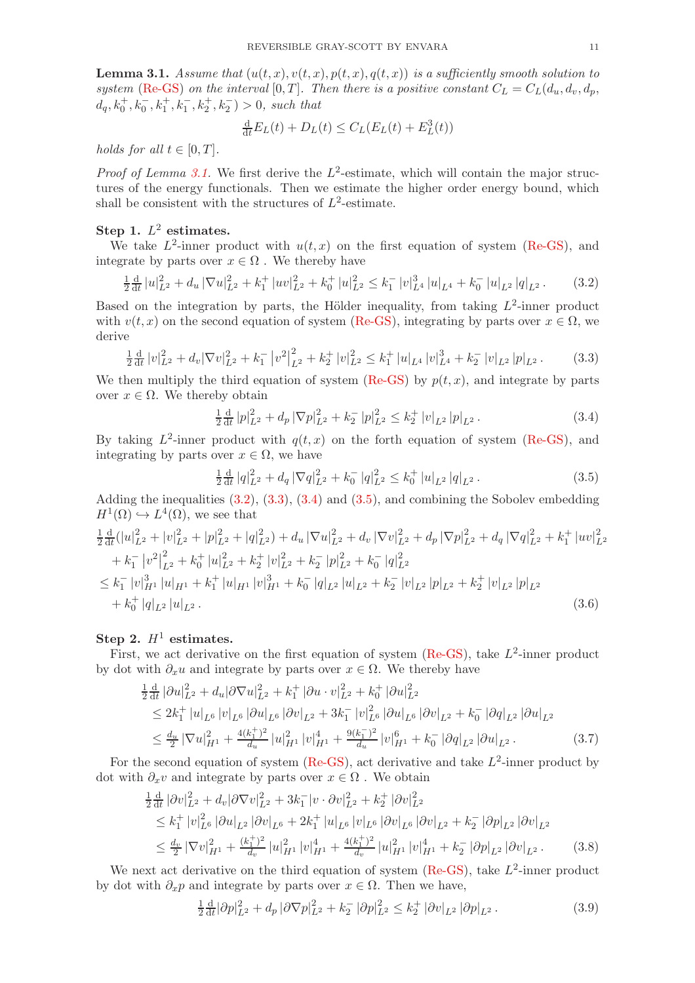<span id="page-10-0"></span>**Lemma 3.1.** Assume that  $(u(t, x), v(t, x), p(t, x), q(t, x))$  is a sufficiently smooth solution to system [\(Re-GS\)](#page-0-0) on the interval [0, T]. Then there is a positive constant  $C_L = C_L(d_u, d_v, d_p, d_v)$  $d_q, k_0^+, k_0^-, k_1^+, k_1^-, k_2^+, k_2^-) > 0$ , such that

<span id="page-10-1"></span>
$$
\frac{\mathrm{d}}{\mathrm{d}t}E_L(t) + D_L(t) \le C_L(E_L(t) + E_L^3(t))
$$

holds for all  $t \in [0, T]$ .

*Proof of Lemma [3.1.](#page-10-0)* We first derive the  $L^2$ -estimate, which will contain the major structures of the energy functionals. Then we estimate the higher order energy bound, which shall be consistent with the structures of  $L^2$ -estimate.

## Step 1.  $L^2$  estimates.

We take  $L^2$ -inner product with  $u(t, x)$  on the first equation of system [\(Re-GS\)](#page-0-0), and integrate by parts over  $x \in \Omega$ . We thereby have

$$
\frac{1}{2}\frac{\mathrm{d}}{\mathrm{d}t}\left|u\right|_{L^{2}}^{2}+d_{u}\left|\nabla u\right|_{L^{2}}^{2}+k_{1}^{+}\left|uv\right|_{L^{2}}^{2}+k_{0}^{+}\left|u\right|_{L^{2}}^{2}\leq k_{1}^{-}\left|v\right|_{L^{4}}^{3}\left|u\right|_{L^{4}}+k_{0}^{-}\left|u\right|_{L^{2}}\left|q\right|_{L^{2}}.\tag{3.2}
$$

Based on the integration by parts, the Hölder inequality, from taking  $L^2$ -inner product with  $v(t, x)$  on the second equation of system [\(Re-GS\)](#page-0-0), integrating by parts over  $x \in \Omega$ , we derive

$$
\frac{1}{2}\frac{\mathrm{d}}{\mathrm{d}t}\left|v\right|_{L^{2}}^{2}+d_{v}|\nabla v|_{L^{2}}^{2}+k_{1}^{-}\left|v^{2}\right|_{L^{2}}^{2}+k_{2}^{+}\left|v\right|_{L^{2}}^{2}\leq k_{1}^{+}\left|u\right|_{L^{4}}\left|v\right|_{L^{4}}^{3}+k_{2}^{-}\left|v\right|_{L^{2}}\left|p\right|_{L^{2}}.\tag{3.3}
$$

We then multiply the third equation of system [\(Re-GS\)](#page-0-0) by  $p(t, x)$ , and integrate by parts over  $x \in \Omega$ . We thereby obtain

<span id="page-10-3"></span><span id="page-10-2"></span>
$$
\frac{1}{2}\frac{\mathrm{d}}{\mathrm{d}t} |p|_{L^2}^2 + d_p |\nabla p|_{L^2}^2 + k_2^- |p|_{L^2}^2 \le k_2^+ |v|_{L^2} |p|_{L^2}.
$$
\n(3.4)

By taking  $L^2$ -inner product with  $q(t, x)$  on the forth equation of system [\(Re-GS\)](#page-0-0), and integrating by parts over  $x \in \Omega$ , we have

<span id="page-10-4"></span>
$$
\frac{1}{2}\frac{\mathrm{d}}{\mathrm{d}t}|q|_{L^{2}}^{2} + d_{q}|\nabla q|_{L^{2}}^{2} + k_{0}^{-}|q|_{L^{2}}^{2} \leq k_{0}^{+}|u|_{L^{2}}|q|_{L^{2}}.
$$
\n(3.5)

Adding the inequalities [\(3.2\)](#page-10-1), [\(3.3\)](#page-10-2), [\(3.4\)](#page-10-3) and [\(3.5\)](#page-10-4), and combining the Sobolev embedding  $H^1(\Omega) \hookrightarrow L^4(\Omega)$ , we see that

$$
\begin{split}\n&\frac{1}{2}\frac{\mathrm{d}}{\mathrm{d}t}(|u|_{L^{2}}^{2}+|v|_{L^{2}}^{2}+|p|_{L^{2}}^{2}+|q|_{L^{2}}^{2})+d_{u}|\nabla u|_{L^{2}}^{2}+d_{v}|\nabla v|_{L^{2}}^{2}+d_{p}|\nabla p|_{L^{2}}^{2}+d_{q}|\nabla q|_{L^{2}}^{2}+k_{1}^{+}|uv|_{L^{2}}^{2} \\
&+k_{1}^{-}|v^{2}|_{L^{2}}^{2}+k_{0}^{+}|u|_{L^{2}}^{2}+k_{2}^{+}|v|_{L^{2}}^{2}+k_{2}^{-}|p|_{L^{2}}^{2}+k_{0}^{-}|q|_{L^{2}}^{2} \\
&\leq k_{1}^{-}|v|_{H^{1}}^{3}|u|_{H^{1}}+k_{1}^{+}|u|_{H^{1}}|v|_{H^{1}}^{3}+k_{0}^{-}|q|_{L^{2}}|u|_{L^{2}}+k_{2}^{-}|v|_{L^{2}}|p|_{L^{2}}+k_{2}^{+}|v|_{L^{2}}|p|_{L^{2}} \\
&+k_{0}^{+}|q|_{L^{2}}|u|_{L^{2}}.\n\end{split}
$$
\n(3.6)

## Step 2.  $H^1$  estimates.

First, we act derivative on the first equation of system [\(Re-GS\)](#page-0-0), take  $L^2$ -inner product by dot with  $\partial_x u$  and integrate by parts over  $x \in \Omega$ . We thereby have

$$
\begin{split}\n&\frac{1}{2}\frac{\mathrm{d}}{\mathrm{d}t} \left| \partial u \right|_{L^{2}}^{2} + d_{u} \left| \partial \nabla u \right|_{L^{2}}^{2} + k_{1}^{+} \left| \partial u \cdot v \right|_{L^{2}}^{2} + k_{0}^{+} \left| \partial u \right|_{L^{2}}^{2} \\
&\leq 2k_{1}^{+} \left| u \right|_{L^{6}} \left| v \right|_{L^{6}} \left| \partial u \right|_{L^{6}} \left| \partial v \right|_{L^{2}} + 3k_{1}^{-} \left| v \right|_{L^{6}}^{2} \left| \partial u \right|_{L^{6}} \left| \partial v \right|_{L^{2}} + k_{0}^{-} \left| \partial q \right|_{L^{2}} \left| \partial u \right|_{L^{2}} \\
&\leq \frac{d_{u}}{2} \left| \nabla u \right|_{H^{1}}^{2} + \frac{4(k_{1}^{+})^{2}}{d_{u}} \left| u \right|_{H^{1}}^{2} \left| v \right|_{H^{1}}^{4} + \frac{9(k_{1}^{-})^{2}}{d_{u}} \left| v \right|_{H^{1}}^{6} + k_{0}^{-} \left| \partial q \right|_{L^{2}} \left| \partial u \right|_{L^{2}}.\n\end{split} \tag{3.7}
$$

For the second equation of system [\(Re-GS\)](#page-0-0), act derivative and take  $L^2$ -inner product by dot with  $\partial_x v$  and integrate by parts over  $x \in \Omega$ . We obtain

$$
\frac{1}{2}\frac{d}{dt}|\partial v|_{L^{2}}^{2} + d_{v}|\partial \nabla v|_{L^{2}}^{2} + 3k_{1}^{-}|\nu \cdot \partial v|_{L^{2}}^{2} + k_{2}^{+}|\partial v|_{L^{2}}^{2}
$$
\n
$$
\leq k_{1}^{+}|\nu|_{L^{6}}^{2}|\partial u|_{L^{2}}|\partial v|_{L^{6}} + 2k_{1}^{+}|\nu|_{L^{6}}|\nu|_{L^{6}}|\partial v|_{L^{6}}|\partial v|_{L^{2}} + k_{2}^{-}|\partial p|_{L^{2}}|\partial v|_{L^{2}}
$$
\n
$$
\leq \frac{d_{v}}{2}|\nabla v|_{H^{1}}^{2} + \frac{(k_{1}^{+})^{2}}{d_{v}}|\nu|_{H^{1}}^{2}|\nu|_{H^{1}}^{4} + \frac{4(k_{1}^{+})^{2}}{d_{v}}|\nu|_{H^{1}}^{2}|\nu|_{H^{1}}^{4} + k_{2}^{-}|\partial p|_{L^{2}}|\partial v|_{L^{2}}.
$$
\n(3.8)

We next act derivative on the third equation of system  $(Re-GS)$ , take  $L^2$ -inner product by dot with  $\partial_x p$  and integrate by parts over  $x \in \Omega$ . Then we have,

<span id="page-10-7"></span><span id="page-10-6"></span><span id="page-10-5"></span>
$$
\frac{1}{2}\frac{\mathrm{d}}{\mathrm{d}t}|\partial p|_{L^2}^2 + d_p |\partial \nabla p|_{L^2}^2 + k_2^- |\partial p|_{L^2}^2 \le k_2^+ |\partial v|_{L^2} |\partial p|_{L^2}.
$$
 (3.9)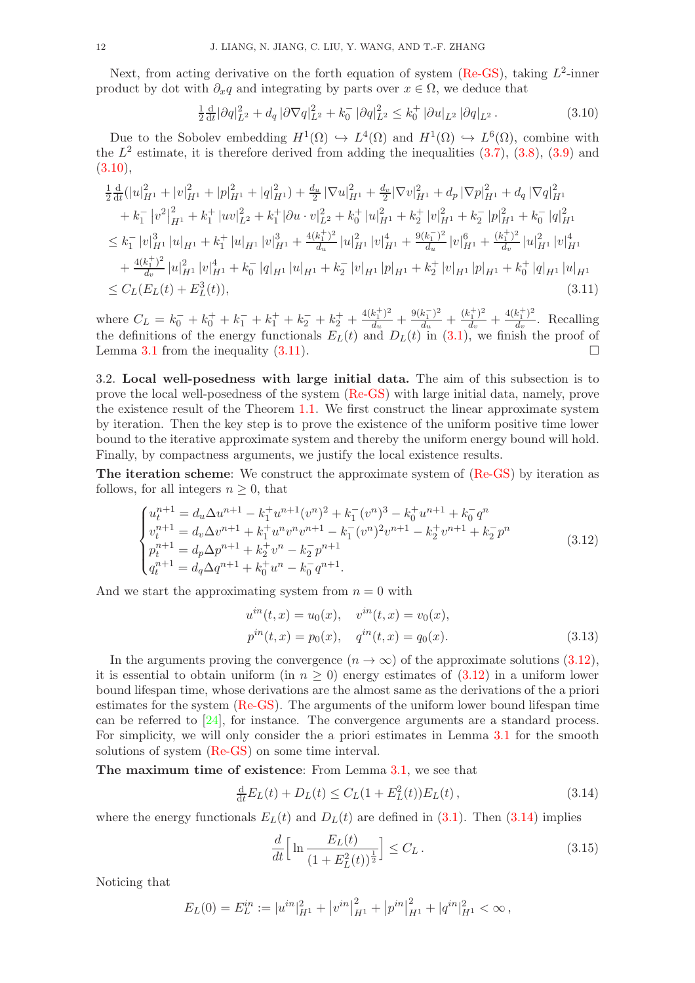Next, from acting derivative on the forth equation of system [\(Re-GS\)](#page-0-0), taking  $L^2$ -inner product by dot with  $\partial_x q$  and integrating by parts over  $x \in \Omega$ , we deduce that

<span id="page-11-1"></span><span id="page-11-0"></span>
$$
\frac{1}{2}\frac{\mathrm{d}}{\mathrm{d}t}|\partial q|_{L^2}^2 + d_q \left| \partial \nabla q \right|_{L^2}^2 + k_0^- \left| \partial q \right|_{L^2}^2 \le k_0^+ \left| \partial u \right|_{L^2} \left| \partial q \right|_{L^2} . \tag{3.10}
$$

Due to the Sobolev embedding  $H^1(\Omega) \hookrightarrow L^4(\Omega)$  and  $H^1(\Omega) \hookrightarrow L^6(\Omega)$ , combine with the  $L^2$  estimate, it is therefore derived from adding the inequalities  $(3.7)$ ,  $(3.8)$ ,  $(3.9)$  and  $(3.10),$  $(3.10),$ 

$$
\frac{1}{2}\frac{d}{dt}(|u|_{H^1}^2 + |v|_{H^1}^2 + |p|_{H^1}^2 + |q|_{H^1}^2) + \frac{d_u}{2}|\nabla u|_{H^1}^2 + \frac{d_v}{2}|\nabla v|_{H^1}^2 + d_p|\nabla p|_{H^1}^2 + d_q|\nabla q|_{H^1}^2 \n+ k_1^- |v^2|_{H^1}^2 + k_1^+ |uv|_{L^2}^2 + k_1^+ |\partial u \cdot v|_{L^2}^2 + k_0^+ |u|_{H^1}^2 + k_2^+ |v|_{H^1}^2 + k_2^- |p|_{H^1}^2 + k_0^- |q|_{H^1}^2 \n\leq k_1^- |v|_{H^1}^3 |u|_{H^1} + k_1^+ |u|_{H^1} |v|_{H^1}^3 + \frac{4(k_1^+)^2}{d_u} |u|_{H^1}^2 |v|_{H^1}^4 + \frac{9(k_1^-)^2}{d_u} |v|_{H^1}^6 + \frac{(k_1^+)^2}{d_v} |u|_{H^1}^2 |v|_{H^1}^4 \n+ \frac{4(k_1^+)^2}{d_v} |u|_{H^1}^2 |v|_{H^1}^4 + k_0^- |q|_{H^1} |u|_{H^1} + k_2^- |v|_{H^1} |p|_{H^1} + k_2^+ |v|_{H^1} |p|_{H^1} + k_0^+ |q|_{H^1} |u|_{H^1} \n\leq C_L(E_L(t) + E_L^3(t)),
$$
\n(3.11)

where  $C_L = k_0^- + k_0^+ + k_1^- + k_1^+ + k_2^- + k_2^+ + \frac{4(k_1^+)^2}{d_u}$  $\frac{(k_1^+)^2}{d_u} + \frac{9(k_1^-)^2}{d_u}$  $\frac{(k_1^-)^2}{d_u} + \frac{(k_1^+)^2}{d_v}$  $\frac{(k_1^+)^2}{d_v} + \frac{4(k_1^+)^2}{d_v}$  $\frac{\kappa_1}{d_v}$ . Recalling the definitions of the energy functionals  $E_L(t)$  and  $D_L(t)$  in [\(3.1\)](#page-9-2), we finish the proof of Lemma [3.1](#page-10-0) from the inequality  $(3.11)$ .

3.2. Local well-posedness with large initial data. The aim of this subsection is to prove the local well-posedness of the system [\(Re-GS\)](#page-0-0) with large initial data, namely, prove the existence result of the Theorem [1.1.](#page-4-1) We first construct the linear approximate system by iteration. Then the key step is to prove the existence of the uniform positive time lower bound to the iterative approximate system and thereby the uniform energy bound will hold. Finally, by compactness arguments, we justify the local existence results.

The iteration scheme: We construct the approximate system of [\(Re-GS\)](#page-0-0) by iteration as follows, for all integers  $n \geq 0$ , that

$$
\begin{cases}\nu_t^{n+1} = d_u \Delta u^{n+1} - k_1^+ u^{n+1} (v^n)^2 + k_1^-(v^n)^3 - k_0^+ u^{n+1} + k_0^- q^n \\
v_t^{n+1} = d_v \Delta v^{n+1} + k_1^+ u^n v^n v^{n+1} - k_1^-(v^n)^2 v^{n+1} - k_2^+ v^{n+1} + k_2^- p^n \\
p_t^{n+1} = d_p \Delta p^{n+1} + k_2^+ v^n - k_2^- p^{n+1} \\
q_t^{n+1} = d_q \Delta q^{n+1} + k_0^+ u^n - k_0^- q^{n+1}.\n\end{cases} \tag{3.12}
$$

And we start the approximating system from  $n = 0$  with

<span id="page-11-2"></span>
$$
u^{in}(t,x) = u_0(x), \quad v^{in}(t,x) = v_0(x),
$$
  
\n
$$
p^{in}(t,x) = p_0(x), \quad q^{in}(t,x) = q_0(x).
$$
\n(3.13)

In the arguments proving the convergence  $(n \to \infty)$  of the approximate solutions [\(3.12\)](#page-11-2), it is essential to obtain uniform (in  $n \geq 0$ ) energy estimates of  $(3.12)$  in a uniform lower bound lifespan time, whose derivations are the almost same as the derivations of the a priori estimates for the system [\(Re-GS\)](#page-0-0). The arguments of the uniform lower bound lifespan time can be referred to [\[24](#page-18-18)], for instance. The convergence arguments are a standard process. For simplicity, we will only consider the a priori estimates in Lemma [3.1](#page-10-0) for the smooth solutions of system [\(Re-GS\)](#page-0-0) on some time interval.

The maximum time of existence: From Lemma [3.1,](#page-10-0) we see that

$$
\frac{d}{dt}E_L(t) + D_L(t) \le C_L(1 + E_L^2(t))E_L(t),
$$
\n(3.14)

where the energy functionals  $E_L(t)$  and  $D_L(t)$  are defined in [\(3.1\)](#page-9-2). Then [\(3.14\)](#page-11-3) implies

<span id="page-11-4"></span><span id="page-11-3"></span>
$$
\frac{d}{dt} \Big[ \ln \frac{E_L(t)}{(1 + E_L^2(t))^{\frac{1}{2}}} \Big] \le C_L \,. \tag{3.15}
$$

Noticing that

$$
E_L(0) = E_L^{in} := |u^{in}|_{H^1}^2 + |v^{in}|_{H^1}^2 + |p^{in}|_{H^1}^2 + |q^{in}|_{H^1}^2 < \infty,
$$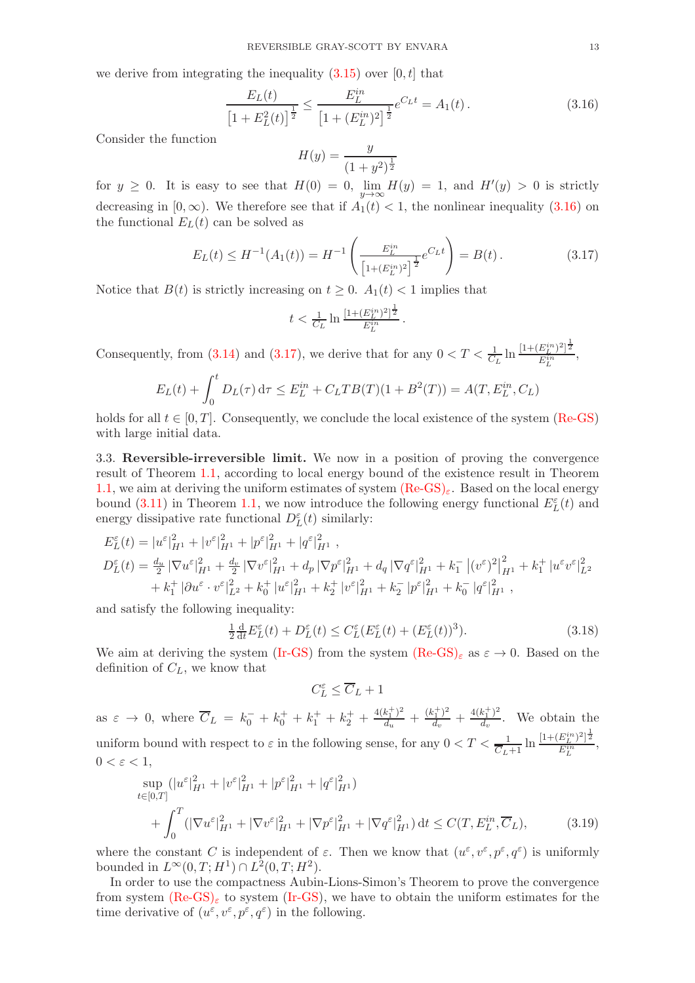we derive from integrating the inequality  $(3.15)$  over  $[0, t]$  that

$$
\frac{E_L(t)}{\left[1 + E_L^2(t)\right]^{\frac{1}{2}}} \le \frac{E_L^{in}}{\left[1 + (E_L^{in})^2\right]^{\frac{1}{2}}} e^{C_L t} = A_1(t). \tag{3.16}
$$

Consider the function

<span id="page-12-0"></span>
$$
H(y) = \frac{y}{(1+y^2)^{\frac{1}{2}}}
$$

for  $y \ge 0$ . It is easy to see that  $H(0) = 0$ ,  $\lim_{y \to \infty} H(y) = 1$ , and  $H'(y) > 0$  is strictly decreasing in  $[0, \infty)$ . We therefore see that if  $A_1(t) < 1$ , the nonlinear inequality [\(3.16\)](#page-12-0) on the functional  $E<sub>L</sub>(t)$  can be solved as

$$
E_L(t) \le H^{-1}(A_1(t)) = H^{-1}\left(\frac{E_L^{in}}{\left[1 + (E_L^{in})^2\right]^{\frac{1}{2}}}e^{C_L t}\right) = B(t). \tag{3.17}
$$

<span id="page-12-1"></span>.

Notice that  $B(t)$  is strictly increasing on  $t \geq 0$ .  $A_1(t) < 1$  implies that

$$
t < \frac{1}{C_L} \ln \frac{[1 + (E_L^{in})^2]^{\frac{1}{2}}}{E_L^{in}}
$$

Consequently, from [\(3.14\)](#page-11-3) and [\(3.17\)](#page-12-1), we derive that for any  $0 < T < \frac{1}{C_L} \ln \frac{[1 + (E_L^{in})^2]^{\frac{1}{2}}}{E_L^{in}}$  $\frac{E_L f}{E_L^{in}}$ ,

$$
E_L(t) + \int_0^t D_L(\tau) d\tau \le E_L^{in} + C_L T B(T) (1 + B^2(T)) = A(T, E_L^{in}, C_L)
$$

holds for all  $t \in [0, T]$ . Consequently, we conclude the local existence of the system [\(Re-GS\)](#page-0-0) with large initial data.

3.3. Reversible-irreversible limit. We now in a position of proving the convergence result of Theorem [1.1,](#page-4-1) according to local energy bound of the existence result in Theorem [1.1,](#page-4-1) we aim at deriving the uniform estimates of system  $(Re-GS)_{\varepsilon}$  $(Re-GS)_{\varepsilon}$ . Based on the local energy bound [\(3.11\)](#page-11-1) in Theorem [1.1,](#page-4-1) we now introduce the following energy functional  $E_L^{\varepsilon}(t)$  and energy dissipative rate functional  $D_{L}^{\varepsilon}(t)$  similarly:

$$
E_L^{\varepsilon}(t) = |u^{\varepsilon}|_{H^1}^2 + |v^{\varepsilon}|_{H^1}^2 + |p^{\varepsilon}|_{H^1}^2 + |q^{\varepsilon}|_{H^1}^2 ,
$$
  
\n
$$
D_L^{\varepsilon}(t) = \frac{d_u}{2} |\nabla u^{\varepsilon}|_{H^1}^2 + \frac{d_v}{2} |\nabla v^{\varepsilon}|_{H^1}^2 + d_p |\nabla p^{\varepsilon}|_{H^1}^2 + d_q |\nabla q^{\varepsilon}|_{H^1}^2 + k_1^- |(v^{\varepsilon})^2|_{H^1}^2 + k_1^+ |u^{\varepsilon} v^{\varepsilon}|_{L^2}^2
$$
  
\n
$$
+ k_1^+ |\partial u^{\varepsilon} \cdot v^{\varepsilon}|_{L^2}^2 + k_0^+ |u^{\varepsilon}|_{H^1}^2 + k_2^+ |v^{\varepsilon}|_{H^1}^2 + k_2^- |p^{\varepsilon}|_{H^1}^2 + k_0^- |q^{\varepsilon}|_{H^1}^2 ,
$$

and satisfy the following inequality:

$$
\frac{1}{2}\frac{\mathrm{d}}{\mathrm{d}t}E_L^{\varepsilon}(t) + D_L^{\varepsilon}(t) \le C_L^{\varepsilon}(E_L^{\varepsilon}(t) + (E_L^{\varepsilon}(t))^3). \tag{3.18}
$$

We aim at deriving the system [\(Ir-GS\)](#page-3-0) from the system  $(Re-GS)_{\varepsilon}$  $(Re-GS)_{\varepsilon}$  as  $\varepsilon \to 0$ . Based on the definition of  $C_L$ , we know that

<span id="page-12-2"></span>
$$
C_L^\varepsilon \leq \overline{C}_L+1
$$

as  $\varepsilon \to 0$ , where  $\overline{C}_L = k_0^- + k_0^+ + k_1^+ + k_2^+ + \frac{4(k_1^+)^2}{d_u}$  $\frac{(k_1^+)^2}{d_u} + \frac{(k_1^+)^2}{d_v}$  $\frac{d^{+}_{1})^2}{d^{+}_{v}} + \frac{4(k_1^+)^2}{d^{+}_{v}}$  $\frac{d_{v}^{(1)}(t)}{d_{v}}$ . We obtain the uniform bound with respect to  $\varepsilon$  in the following sense, for any  $0 < T < \frac{1}{\overline{C}_{L+1}} \ln \frac{[1 + (E_L^{in})^2]^{\frac{1}{2}}}{E_L^{in}}$  $\frac{E_L f}{E_L^{in}}$ ,  $0 < \varepsilon < 1$ ,

$$
\sup_{t \in [0,T]} (|u^{\varepsilon}|_{H^1}^2 + |v^{\varepsilon}|_{H^1}^2 + |p^{\varepsilon}|_{H^1}^2 + |q^{\varepsilon}|_{H^1}^2) + \int_0^T (|\nabla u^{\varepsilon}|_{H^1}^2 + |\nabla v^{\varepsilon}|_{H^1}^2 + |\nabla p^{\varepsilon}|_{H^1}^2 + |\nabla q^{\varepsilon}|_{H^1}^2) dt \le C(T, E_L^{in}, \overline{C}_L),
$$
(3.19)

where the constant C is independent of  $\varepsilon$ . Then we know that  $(u^{\varepsilon}, v^{\varepsilon}, p^{\varepsilon}, q^{\varepsilon})$  is uniformly bounded in  $L^{\infty}(0,T;H^1) \cap L^2(0,T;H^2)$ .

In order to use the compactness Aubin-Lions-Simon's Theorem to prove the convergence from system [\(Re-GS\)](#page-3-1)<sub> $\epsilon$ </sub> to system [\(Ir-GS\)](#page-3-0), we have to obtain the uniform estimates for the time derivative of  $(u^{\varepsilon}, v^{\varepsilon}, p^{\varepsilon}, q^{\varepsilon})$  in the following.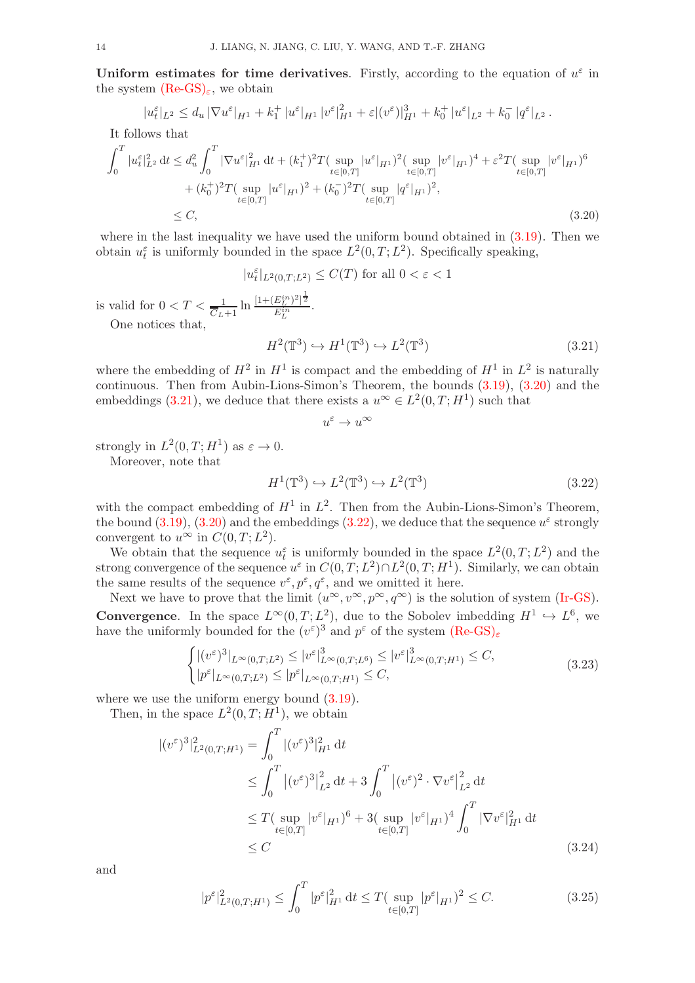Uniform estimates for time derivatives. Firstly, according to the equation of  $u^{\varepsilon}$  in the system  $(Re\text{-}GS)_{\epsilon}$ , we obtain

$$
|u_t^{\varepsilon}|_{L^2} \leq d_u |\nabla u^{\varepsilon}|_{H^1} + k_1^+ |u^{\varepsilon}|_{H^1} |v^{\varepsilon}|_{H^1}^2 + \varepsilon |(v^{\varepsilon})|_{H^1}^3 + k_0^+ |u^{\varepsilon}|_{L^2} + k_0^- |q^{\varepsilon}|_{L^2}.
$$

It follows that

$$
\int_{0}^{T} |u_{t}^{\varepsilon}|_{L^{2}}^{2} dt \leq d_{u}^{2} \int_{0}^{T} |\nabla u^{\varepsilon}|_{H^{1}}^{2} dt + (k_{1}^{+})^{2} T(\sup_{t \in [0,T]} |u^{\varepsilon}|_{H^{1}})^{2} (\sup_{t \in [0,T]} |v^{\varepsilon}|_{H^{1}})^{4} + \varepsilon^{2} T(\sup_{t \in [0,T]} |v^{\varepsilon}|_{H^{1}})^{6} + (k_{0}^{+})^{2} T(\sup_{t \in [0,T]} |u^{\varepsilon}|_{H^{1}})^{2} + (k_{0}^{-})^{2} T(\sup_{t \in [0,T]} |q^{\varepsilon}|_{H^{1}})^{2}, \leq C,
$$
\n(3.20)

where in the last inequality we have used the uniform bound obtained in  $(3.19)$ . Then we obtain  $u_t^{\varepsilon}$  is uniformly bounded in the space  $L^2(0,T;L^2)$ . Specifically speaking,

 $|u_t^{\varepsilon}|_{L^2(0,T;L^2)} \leq C(T)$  for all  $0 < \varepsilon < 1$ 

is valid for  $0 < T < \frac{1}{\overline{C}_L+1} \ln \frac{[1+(E_L^{in})^2]^{\frac{1}{2}}}{E_L^{in}}$  $\frac{E_L f f^2}{E_L^{in}}$ .

One notices that,

$$
H^2(\mathbb{T}^3) \hookrightarrow H^1(\mathbb{T}^3) \hookrightarrow L^2(\mathbb{T}^3)
$$
\n(3.21)

where the embedding of  $H^2$  in  $H^1$  is compact and the embedding of  $H^1$  in  $L^2$  is naturally continuous. Then from Aubin-Lions-Simon's Theorem, the bounds [\(3.19\)](#page-12-2), [\(3.20\)](#page-13-0) and the embeddings [\(3.21\)](#page-13-1), we deduce that there exists a  $u^{\infty} \in L^2(0,T;H^1)$  such that

<span id="page-13-2"></span><span id="page-13-1"></span><span id="page-13-0"></span> $u^{\varepsilon} \to u^{\infty}$ 

strongly in  $L^2(0,T;H^1)$  as  $\varepsilon \to 0$ .

Moreover, note that

$$
H^1(\mathbb{T}^3) \hookrightarrow L^2(\mathbb{T}^3) \hookrightarrow L^2(\mathbb{T}^3)
$$
\n(3.22)

with the compact embedding of  $H^1$  in  $L^2$ . Then from the Aubin-Lions-Simon's Theorem, the bound  $(3.19)$ ,  $(3.20)$  and the embeddings  $(3.22)$ , we deduce that the sequence  $u^{\varepsilon}$  strongly convergent to  $u^{\infty}$  in  $C(0,T; L^2)$ .

We obtain that the sequence  $u_t^{\varepsilon}$  is uniformly bounded in the space  $L^2(0,T;L^2)$  and the strong convergence of the sequence  $u^{\varepsilon}$  in  $C(0,T;L^2) \cap L^2(0,T;H^1)$ . Similarly, we can obtain the same results of the sequence  $v^{\varepsilon}, p^{\varepsilon}, q^{\varepsilon}$ , and we omitted it here.

Next we have to prove that the limit  $(u^{\infty}, v^{\infty}, p^{\infty}, q^{\infty})$  is the solution of system [\(Ir-GS\)](#page-3-0). **Convergence**. In the space  $L^{\infty}(0,T; L^2)$ , due to the Sobolev imbedding  $H^1 \hookrightarrow L^6$ , we have the uniformly bounded for the  $(v^{\varepsilon})^3$  and  $p^{\varepsilon}$  of the system  $(Re\text{-GS})_{\varepsilon}$ 

$$
\begin{cases} |(v^{\varepsilon})^{3}|_{L^{\infty}(0,T;L^{2})} \leq |v^{\varepsilon}|_{L^{\infty}(0,T;L^{6})}^{3} \leq |v^{\varepsilon}|_{L^{\infty}(0,T;H^{1})}^{3} \leq C, \\ |p^{\varepsilon}|_{L^{\infty}(0,T;L^{2})} \leq |p^{\varepsilon}|_{L^{\infty}(0,T;H^{1})} \leq C, \end{cases}
$$
\n(3.23)

where we use the uniform energy bound  $(3.19)$ .

Then, in the space  $L^2(0,T;H^1)$ , we obtain

$$
\begin{split} |(v^{\varepsilon})^{3}|^{2}_{L^{2}(0,T;H^{1})} &= \int_{0}^{T} |(v^{\varepsilon})^{3}|^{2}_{H^{1}} \, \mathrm{d}t \\ &\leq \int_{0}^{T} |(v^{\varepsilon})^{3}|^{2}_{L^{2}} \, \mathrm{d}t + 3 \int_{0}^{T} |(v^{\varepsilon})^{2} \cdot \nabla v^{\varepsilon}|^{2}_{L^{2}} \, \mathrm{d}t \\ &\leq T(\sup_{t \in [0,T]} |v^{\varepsilon}|_{H^{1}})^{6} + 3(\sup_{t \in [0,T]} |v^{\varepsilon}|_{H^{1}})^{4} \int_{0}^{T} |\nabla v^{\varepsilon}|^{2}_{H^{1}} \, \mathrm{d}t \\ &\leq C \end{split} \tag{3.24}
$$

and

$$
|p^{\varepsilon}|_{L^{2}(0,T;H^{1})}^{2} \leq \int_{0}^{T} |p^{\varepsilon}|_{H^{1}}^{2} dt \leq T(\sup_{t \in [0,T]} |p^{\varepsilon}|_{H^{1}})^{2} \leq C.
$$
 (3.25)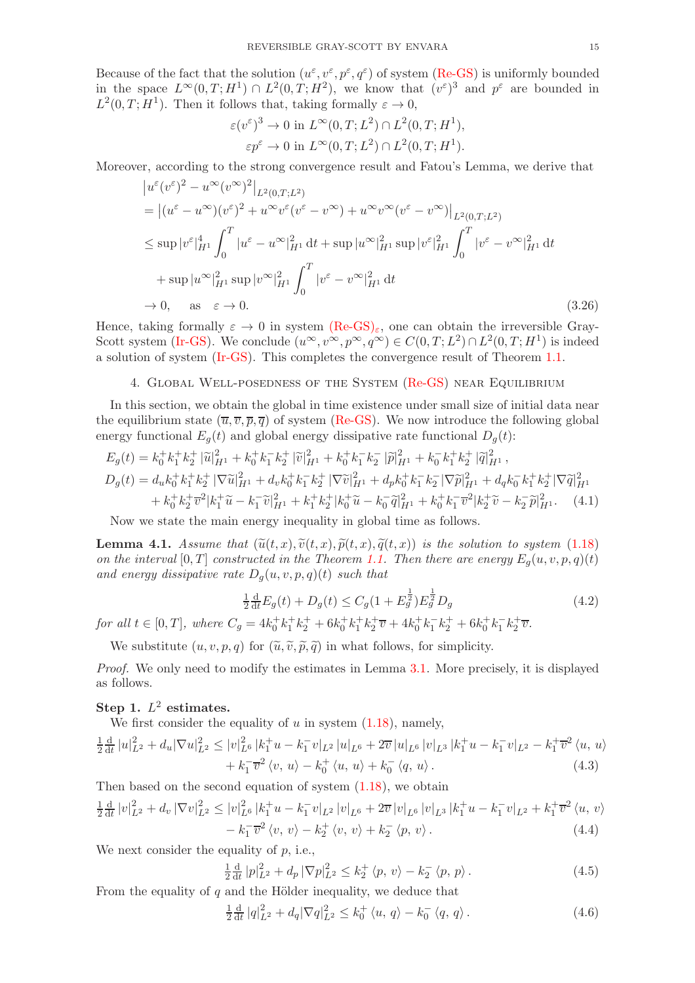Because of the fact that the solution  $(u^{\varepsilon}, v^{\varepsilon}, p^{\varepsilon}, q^{\varepsilon})$  of system [\(Re-GS\)](#page-0-0) is uniformly bounded in the space  $L^{\infty}(0,T;H^1) \cap L^2(0,T;H^2)$ , we know that  $(v^{\varepsilon})^3$  and  $p^{\varepsilon}$  are bounded in  $L^2(0,T;H^1)$ . Then it follows that, taking formally  $\varepsilon \to 0$ ,

$$
\varepsilon(v^{\varepsilon})^3 \to 0 \text{ in } L^{\infty}(0,T;L^2) \cap L^2(0,T;H^1),
$$
  

$$
\varepsilon p^{\varepsilon} \to 0 \text{ in } L^{\infty}(0,T;L^2) \cap L^2(0,T;H^1).
$$

Moreover, according to the strong convergence result and Fatou's Lemma, we derive that

$$
\begin{split}\n&|u^{\varepsilon}(v^{\varepsilon})^{2} - u^{\infty}(v^{\infty})^{2}|_{L^{2}(0,T;L^{2})} \\
&= |(u^{\varepsilon} - u^{\infty})(v^{\varepsilon})^{2} + u^{\infty}v^{\varepsilon}(v^{\varepsilon} - v^{\infty}) + u^{\infty}v^{\infty}(v^{\varepsilon} - v^{\infty})|_{L^{2}(0,T;L^{2})} \\
&\leq \sup |v^{\varepsilon}|_{H^{1}}^{4} \int_{0}^{T} |u^{\varepsilon} - u^{\infty}|_{H^{1}}^{2} dt + \sup |u^{\infty}|_{H^{1}}^{2} \sup |v^{\varepsilon}|_{H^{1}}^{2} \int_{0}^{T} |v^{\varepsilon} - v^{\infty}|_{H^{1}}^{2} dt \\
&+ \sup |u^{\infty}|_{H^{1}}^{2} \sup |v^{\infty}|_{H^{1}}^{2} \int_{0}^{T} |v^{\varepsilon} - v^{\infty}|_{H^{1}}^{2} dt \\
&\to 0, \quad \text{as} \quad \varepsilon \to 0.\n\end{split} \tag{3.26}
$$

Hence, taking formally  $\varepsilon \to 0$  in system  $(Re-GS)_{\varepsilon}$  $(Re-GS)_{\varepsilon}$ , one can obtain the irreversible Gray-Scott system [\(Ir-GS\)](#page-3-0). We conclude  $(u^{\infty}, v^{\infty}, p^{\infty}, q^{\infty}) \in C(0,T; L^2) \cap L^2(0,T; H^1)$  is indeed a solution of system [\(Ir-GS\)](#page-3-0). This completes the convergence result of Theorem [1.1.](#page-4-1)

### <span id="page-14-0"></span>4. Global Well-posedness of the System [\(Re-GS\)](#page-0-0) near Equilibrium

In this section, we obtain the global in time existence under small size of initial data near the equilibrium state  $(\overline{u}, \overline{v}, \overline{p}, \overline{q})$  of system [\(Re-GS\)](#page-0-0). We now introduce the following global energy functional  $E_q(t)$  and global energy dissipative rate functional  $D_q(t)$ :

$$
E_g(t) = k_0^+ k_1^+ k_2^+ |\tilde{u}|_{H^1}^2 + k_0^+ k_1^- k_2^+ |\tilde{v}|_{H^1}^2 + k_0^+ k_1^- k_2^- |\tilde{p}|_{H^1}^2 + k_0^- k_1^+ k_2^+ |\tilde{q}|_{H^1}^2,
$$
  
\n
$$
D_g(t) = d_u k_0^+ k_1^+ k_2^+ |\nabla \tilde{u}|_{H^1}^2 + d_v k_0^+ k_1^- k_2^+ |\nabla \tilde{v}|_{H^1}^2 + d_p k_0^+ k_1^- k_2^- |\nabla \tilde{p}|_{H^1}^2 + d_q k_0^- k_1^+ k_2^+ |\nabla \tilde{q}|_{H^1}^2
$$
  
\n
$$
+ k_0^+ k_2^+ \overline{v}^2 |k_1^+ \tilde{u} - k_1^- \tilde{v}|_{H^1}^2 + k_1^+ k_2^+ |k_0^+ \tilde{u} - k_0^- \tilde{q}|_{H^1}^2 + k_0^+ k_1^- \overline{v}^2 |k_2^+ \tilde{v} - k_2^- \tilde{p}|_{H^1}^2. \tag{4.1}
$$

Now we state the main energy inequality in global time as follows.

<span id="page-14-5"></span>**Lemma 4.1.** Assume that  $(\tilde{u}(t, x), \tilde{v}(t, x), \tilde{p}(t, x), \tilde{q}(t, x))$  is the solution to system [\(1.18\)](#page-5-3) on the interval  $[0, T]$  constructed in the Theorem [1.1.](#page-4-1) Then there are energy  $E_q(u, v, p, q)(t)$ and energy dissipative rate  $D_g(u, v, p, q)(t)$  such that

$$
\frac{1}{2}\frac{d}{dt}E_g(t) + D_g(t) \le C_g(1 + E_g^{\frac{1}{2}})E_g^{\frac{1}{2}}D_g
$$
\n(4.2)

for all  $t \in [0, T]$ , where  $C_g = 4k_0^+ k_1^+ k_2^+ + 6k_0^+ k_1^+ k_2^+ \overline{v} + 4k_0^+ k_1^- k_2^+ + 6k_0^+ k_1^- k_2^+ \overline{v}$ .

We substitute  $(u, v, p, q)$  for  $(\tilde{u}, \tilde{v}, \tilde{p}, \tilde{q})$  in what follows, for simplicity.

Proof. We only need to modify the estimates in Lemma [3.1.](#page-10-0) More precisely, it is displayed as follows.

## Step 1.  $L^2$  estimates.

We first consider the equality of  $u$  in system  $(1.18)$ , namely,

$$
\frac{1}{2}\frac{d}{dt}|u|_{L^{2}}^{2} + d_{u}|\nabla u|_{L^{2}}^{2} \leq |v|_{L^{6}}^{2}|k_{1}^{+}u - k_{1}^{-}v|_{L^{2}}|u|_{L^{6}} + 2\overline{v}|u|_{L^{6}}|v|_{L^{3}}|k_{1}^{+}u - k_{1}^{-}v|_{L^{2}} - k_{1}^{+}\overline{v}^{2}\langle u, u \rangle \n+ k_{1}^{-}\overline{v}^{2}\langle v, u \rangle - k_{0}^{+}\langle u, u \rangle + k_{0}^{-}\langle q, u \rangle.
$$
\n(4.3)

Then based on the second equation of system [\(1.18\)](#page-5-3), we obtain

$$
\frac{1}{2}\frac{\mathrm{d}}{\mathrm{d}t}|v|_{L^{2}}^{2} + d_{v}|\nabla v|_{L^{2}}^{2} \leq |v|_{L^{6}}^{2}|k_{1}^{+}u - k_{1}^{-}v|_{L^{2}}|v|_{L^{6}} + 2\overline{v}|v|_{L^{6}}|v|_{L^{3}}|k_{1}^{+}u - k_{1}^{-}v|_{L^{2}} + k_{1}^{+}\overline{v}^{2}\langle u, v\rangle \n- k_{1}^{-}\overline{v}^{2}\langle v, v\rangle - k_{2}^{+}\langle v, v\rangle + k_{2}^{-}\langle p, v\rangle.
$$
\n(4.4)

We next consider the equality of  $p$ , i.e.,

<span id="page-14-3"></span><span id="page-14-2"></span><span id="page-14-1"></span>
$$
\frac{1}{2}\frac{\mathrm{d}}{\mathrm{d}t}|p|_{L^2}^2 + d_p |\nabla p|_{L^2}^2 \le k_2^+ \langle p, v \rangle - k_2^- \langle p, p \rangle. \tag{4.5}
$$

From the equality of  $q$  and the Hölder inequality, we deduce that

<span id="page-14-4"></span>
$$
\frac{1}{2}\frac{d}{dt}|q|_{L^{2}}^{2} + d_{q}|\nabla q|_{L^{2}}^{2} \leq k_{0}^{+}\langle u, q\rangle - k_{0}^{-}\langle q, q\rangle.
$$
 (4.6)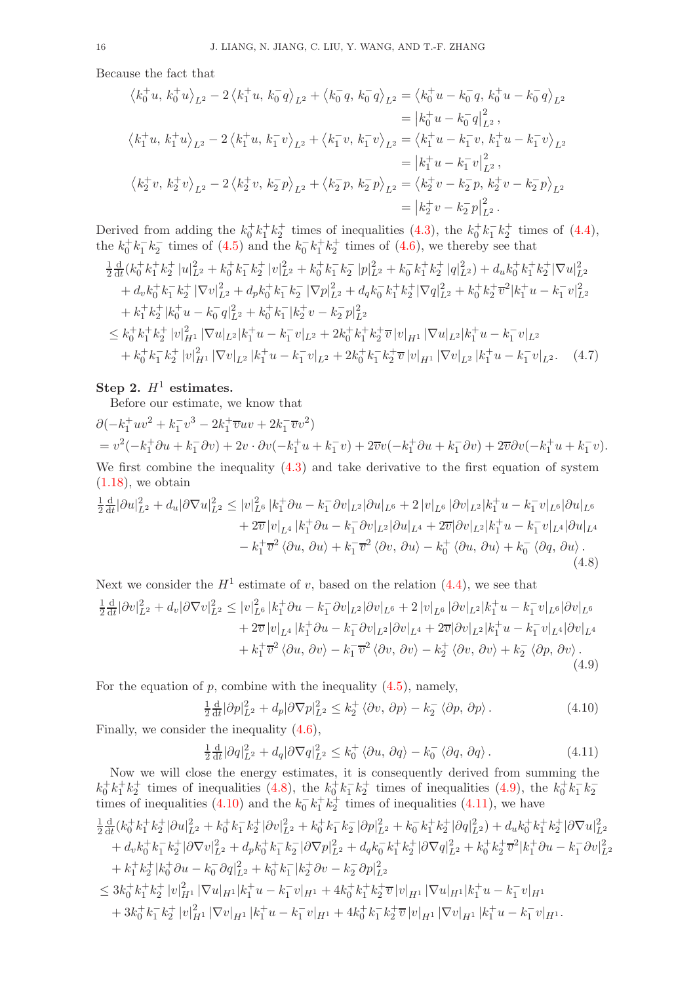Because the fact that

$$
\langle k_0^+ u, k_0^+ u \rangle_{L^2} - 2 \langle k_1^+ u, k_0^- q \rangle_{L^2} + \langle k_0^- q, k_0^- q \rangle_{L^2} = \langle k_0^+ u - k_0^- q, k_0^+ u - k_0^- q \rangle_{L^2}
$$
  
\n
$$
= |k_0^+ u - k_0^- q|_{L^2}^2,
$$
  
\n
$$
\langle k_1^+ u, k_1^+ u \rangle_{L^2} - 2 \langle k_1^+ u, k_1^- v \rangle_{L^2} + \langle k_1^- v, k_1^- v \rangle_{L^2} = \langle k_1^+ u - k_1^- v, k_1^+ u - k_1^- v \rangle_{L^2}
$$
  
\n
$$
= |k_1^+ u - k_1^- v|_{L^2}^2,
$$
  
\n
$$
\langle k_2^+ v, k_2^+ v \rangle_{L^2} - 2 \langle k_2^+ v, k_2^- p \rangle_{L^2} + \langle k_2^- p, k_2^- p \rangle_{L^2} = \langle k_2^+ v - k_2^- p, k_2^+ v - k_2^- p \rangle_{L^2}
$$
  
\n
$$
= |k_2^+ v - k_2^- p|_{L^2}^2.
$$

Derived from adding the  $k_0^+ k_1^+ k_2^+$  times of inequalities [\(4.3\)](#page-14-1), the  $k_0^+ k_1^- k_2^+$  times of [\(4.4\)](#page-14-2), the  $k_0^+k_1^-k_2^-$  times of [\(4.5\)](#page-14-3) and the  $k_0^-k_1^+k_2^+$  times of [\(4.6\)](#page-14-4), we thereby see that

$$
\frac{1}{2}\frac{d}{dt}(k_0^+k_1^+k_2^+|u|_{L^2}^2+k_0^+k_1^-k_2^+|v|_{L^2}^2+k_0^+k_1^-k_2^-|p|_{L^2}^2+k_0^-k_1^+k_2^+|q|_{L^2}^2)+d_u k_0^+k_1^+k_2^+|\nabla u|_{L^2}^2
$$
\n
$$
+d_v k_0^+k_1^-k_2^+|\nabla v|_{L^2}^2+d_p k_0^+k_1^-k_2^-|\nabla p|_{L^2}^2+d_q k_0^-k_1^+k_2^+|\nabla q|_{L^2}^2+k_0^+k_2^+ \overline{v}^2|k_1^+u-k_1^-v|_{L^2}^2
$$
\n
$$
+k_1^+k_2^+|k_0^+u-k_0^-q|_{L^2}^2+k_0^+k_1^-|k_2^+v-k_2^-p|_{L^2}^2
$$
\n
$$
\leq k_0^+k_1^+k_2^+|v|_{H^1}^2|\nabla u|_{L^2}|k_1^+u-k_1^-v|_{L^2}+2k_0^+k_1^+k_2^+ \overline{v}|v|_{H^1}|\nabla u|_{L^2}|k_1^+u-k_1^-v|_{L^2}
$$
\n
$$
+k_0^+k_1^-k_2^+|v|_{H^1}^2|\nabla v|_{L^2}|k_1^+u-k_1^-v|_{L^2}+2k_0^+k_1^-k_2^+ \overline{v}|v|_{H^1}|\nabla v|_{L^2}|k_1^+u-k_1^-v|_{L^2}.\tag{4.7}
$$

# Step 2.  $H^1$  estimates.

Before our estimate, we know that

$$
\partial(-k_1^+uv^2 + k_1^-v^3 - 2k_1^+ \overline{v}uv + 2k_1^- \overline{v}v^2) \n= v^2(-k_1^+ \partial u + k_1^- \partial v) + 2v \cdot \partial v(-k_1^+ u + k_1^- v) + 2\overline{v}v(-k_1^+ \partial u + k_1^- \partial v) + 2\overline{v} \partial v(-k_1^+ u + k_1^- v).
$$

We first combine the inequality [\(4.3\)](#page-14-1) and take derivative to the first equation of system  $(1.18)$ , we obtain

$$
\frac{1}{2}\frac{d}{dt}|\partial u|_{L^{2}}^{2} + d_{u}|\partial \nabla u|_{L^{2}}^{2} \leq |v|_{L^{6}}^{2}|k_{1}^{+}\partial u - k_{1}^{-}\partial v|_{L^{2}}|\partial u|_{L^{6}} + 2|v|_{L^{6}}|\partial v|_{L^{2}}|k_{1}^{+}u - k_{1}^{-}v|_{L^{6}}|\partial u|_{L^{6}} \n+ 2\overline{v}|v|_{L^{4}}|k_{1}^{+}\partial u - k_{1}^{-}\partial v|_{L^{2}}|\partial u|_{L^{4}} + 2\overline{v}|\partial v|_{L^{2}}|k_{1}^{+}u - k_{1}^{-}v|_{L^{4}}|\partial u|_{L^{4}} \n- k_{1}^{+}\overline{v}^{2}\langle\partial u, \partial u \rangle + k_{1}^{-}\overline{v}^{2}\langle\partial v, \partial u \rangle - k_{0}^{+}\langle\partial u, \partial u \rangle + k_{0}^{-}\langle\partial q, \partial u \rangle.
$$
\n(4.8)

Next we consider the 
$$
H^1
$$
 estimate of v, based on the relation (4.4), we see that  
\n
$$
\frac{1}{2} \frac{d}{dt} |\partial v|_{L^2}^2 + d_v |\partial \nabla v|_{L^2}^2 \le |v|_{L^6}^2 |k_1^+ \partial u - k_1^- \partial v|_{L^2} |\partial v|_{L^6} + 2 |v|_{L^6} |\partial v|_{L^2} |k_1^+ u - k_1^- v|_{L^6} |\partial v|_{L^6}
$$
\n
$$
+ 2\overline{v} |v|_{L^4} |k_1^+ \partial u - k_1^- \partial v|_{L^2} |\partial v|_{L^4} + 2\overline{v} |\partial v|_{L^2} |k_1^+ u - k_1^- v|_{L^4} |\partial v|_{L^4}
$$
\n
$$
+ k_1^+ \overline{v}^2 \langle \partial u, \partial v \rangle - k_1^- \overline{v}^2 \langle \partial v, \partial v \rangle - k_2^+ \langle \partial v, \partial v \rangle + k_2^- \langle \partial p, \partial v \rangle.
$$
\n(4.9)

For the equation of  $p$ , combine with the inequality  $(4.5)$ , namely,

<span id="page-15-2"></span><span id="page-15-1"></span><span id="page-15-0"></span>
$$
\frac{1}{2}\frac{\mathrm{d}}{\mathrm{d}t}|\partial p|_{L^2}^2 + d_p|\partial \nabla p|_{L^2}^2 \le k_2^+ \langle \partial v, \partial p \rangle - k_2^- \langle \partial p, \partial p \rangle. \tag{4.10}
$$

Finally, we consider the inequality [\(4.6\)](#page-14-4),

<span id="page-15-3"></span>
$$
\frac{1}{2}\frac{\mathrm{d}}{\mathrm{d}t}|\partial q|_{L^2}^2 + d_q|\partial \nabla q|_{L^2}^2 \le k_0^+ \langle \partial u, \partial q \rangle - k_0^- \langle \partial q, \partial q \rangle. \tag{4.11}
$$

Now we will close the energy estimates, it is consequently derived from summing the  $k_0^+k_1^+k_2^+$  times of inequalities [\(4.8\)](#page-15-0), the  $k_0^+k_1^-k_2^+$  times of inequalities [\(4.9\)](#page-15-1), the  $k_0^+k_1^-k_2^-$ times of inequalities [\(4.10\)](#page-15-2) and the  $k_0^- k_1^+ k_2^+$  times of inequalities [\(4.11\)](#page-15-3), we have 1 2  $\frac{d}{dt}(k_0^+k_1^+k_2^+|\partial u|_{L^2}^2+k_0^+k_1^-k_2^+|\partial v|_{L^2}^2+k_0^+k_1^-k_2^-|\partial p|_{L^2}^2+k_0^-k_1^+k_2^+|\partial q|_{L^2}^2)+d_u k_0^+k_1^+k_2^+|\partial \nabla u|_{L^2}^2$  $+ d_v k_0^+ k_1^- k_2^+ |\partial \nabla v|_{L^2}^2 + d_p k_0^+ k_1^- k_2^- |\partial \nabla p|_{L^2}^2 + d_q k_0^- k_1^+ k_2^+ |\partial \nabla q|_{L^2}^2 + k_0^+ k_2^+ \overline{v}^2 |k_1^+ \partial u - k_1^- \partial v|_{L^2}^2$  $+ k_1^{\dagger} k_2^{\dagger} |k_0^{\dagger} \partial u - k_0^{\dagger} \partial q|_{L^2}^2 + k_0^{\dagger} k_1^{\dagger} |k_2^{\dagger} \partial v - k_2^{\dagger} \partial p|_{L^2}^2$  $\leq3k_{0}^{+}k_{1}^{+}k_{2}^{+}\left|v\right|^{2}_{H^{1}}\left|\nabla u\right|_{H^{1}}\left|k_{1}^{+}u-k_{1}^{-}v\right|_{H^{1}}+4k_{0}^{+}k_{1}^{+}k_{2}^{+}\overline{v}\left|v\right|_{H^{1}}\left|\nabla u\right|_{H^{1}}\left|k_{1}^{+}u-k_{1}^{-}v\right|_{H^{1}}$  $+ 3k_0^+k_1^-k_2^+|v|_{H^1}^2|\nabla v|_{H^1}|k_1^+u - k_1^-v|_{H^1} + 4k_0^+k_1^-k_2^+ \overline{v}|v|_{H^1}|\nabla v|_{H^1}|k_1^+u - k_1^-v|_{H^1}.$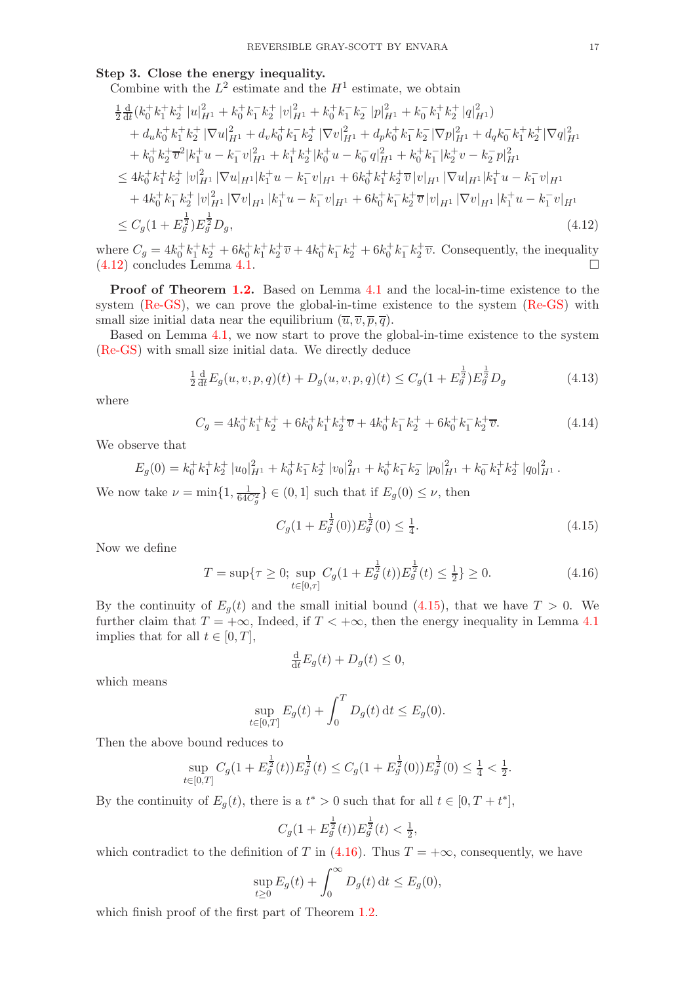### Step 3. Close the energy inequality.

Combine with the  $L^2$  estimate and the  $H^1$  estimate, we obtain

$$
\frac{1}{2}\frac{d}{dt}(k_{0}^{+}k_{1}^{+}k_{2}^{+}|u|_{H^{1}}^{2}+k_{0}^{+}k_{1}^{-}k_{2}^{+}|v|_{H^{1}}^{2}+k_{0}^{+}k_{1}^{-}k_{2}^{-}|p|_{H^{1}}^{2}+k_{0}^{-}k_{1}^{+}k_{2}^{+}|q|_{H^{1}}^{2})\n+ d_{u}k_{0}^{+}k_{1}^{+}k_{2}^{+}|\nabla u|_{H^{1}}^{2}+d_{v}k_{0}^{+}k_{1}^{-}k_{2}^{+}|\nabla v|_{H^{1}}^{2}+d_{p}k_{0}^{+}k_{1}^{-}k_{2}^{-}|\nabla p|_{H^{1}}^{2}+d_{q}k_{0}^{-}k_{1}^{+}k_{2}^{+}|\nabla q|_{H^{1}}^{2}\n+ k_{0}^{+}k_{2}^{+}\bar{v}^{2}|k_{1}^{+}u-k_{1}^{-}v|_{H^{1}}^{2}+k_{1}^{+}k_{2}^{+}|k_{0}^{+}u-k_{0}^{-}q|_{H^{1}}^{2}+k_{0}^{+}k_{1}^{-}|k_{2}^{+}v-k_{2}^{-}p|_{H^{1}}^{2}\n\leq 4k_{0}^{+}k_{1}^{+}k_{2}^{+}|v|_{H^{1}}^{2}|\nabla u|_{H^{1}}|k_{1}^{+}u-k_{1}^{-}v|_{H^{1}}+6k_{0}^{+}k_{1}^{+}k_{2}^{+}\bar{v}|v|_{H^{1}}|\nabla u|_{H^{1}}|k_{1}^{+}u-k_{1}^{-}v|_{H^{1}}\n+4k_{0}^{+}k_{1}^{-}k_{2}^{+}|v|_{H^{1}}^{2}|\nabla v|_{H^{1}}|k_{1}^{+}u-k_{1}^{-}v|_{H^{1}}+6k_{0}^{+}k_{1}^{-}k_{2}^{+}\bar{v}|v|_{H^{1}}|\nabla v|_{H^{1}}|k_{1}^{+}u-k_{1}^{-}v|_{H^{1}}\n\leq C_{g}(1+E_{g}^{\frac{1}{2}})E_{g}^{\frac{1}{2}}D_{g},
$$
\n(4.12)

where  $C_g = 4k_0^+k_1^+k_2^+ + 6k_0^+k_1^+k_2^+ \overline{v} + 4k_0^+k_1^-k_2^+ + 6k_0^+k_1^-k_2^+ \overline{v}$ . Consequently, the inequality [\(4.12\)](#page-16-0) concludes Lemma [4.1.](#page-14-5)

Proof of Theorem [1.2.](#page-5-1) Based on Lemma [4.1](#page-14-5) and the local-in-time existence to the system [\(Re-GS\)](#page-0-0), we can prove the global-in-time existence to the system [\(Re-GS\)](#page-0-0) with small size initial data near the equilibrium  $(\overline{u}, \overline{v}, \overline{p}, \overline{q})$ .

Based on Lemma [4.1,](#page-14-5) we now start to prove the global-in-time existence to the system [\(Re-GS\)](#page-0-0) with small size initial data. We directly deduce

<span id="page-16-0"></span>
$$
\frac{1}{2}\frac{d}{dt}E_g(u,v,p,q)(t) + D_g(u,v,p,q)(t) \le C_g(1 + E_g^{\frac{1}{2}})E_g^{\frac{1}{2}}D_g
$$
\n(4.13)

where

$$
C_g = 4k_0^+k_1^+k_2^+ + 6k_0^+k_1^+k_2^+\overline{v} + 4k_0^+k_1^-k_2^+ + 6k_0^+k_1^-k_2^+\overline{v}.\tag{4.14}
$$

We observe that

$$
E_g(0) = k_0^+ k_1^+ k_2^+ |u_0|_{H^1}^2 + k_0^+ k_1^- k_2^+ |v_0|_{H^1}^2 + k_0^+ k_1^- k_2^- |p_0|_{H^1}^2 + k_0^- k_1^+ k_2^+ |q_0|_{H^1}^2.
$$

We now take  $\nu = \min\{1, \frac{1}{64C_g^2}\}\in(0, 1]$  such that if  $E_g(0) \leq \nu$ , then

$$
C_g(1 + E_g^{\frac{1}{2}}(0))E_g^{\frac{1}{2}}(0) \le \frac{1}{4}.\tag{4.15}
$$

<span id="page-16-2"></span><span id="page-16-1"></span>.

Now we define

$$
T = \sup \{ \tau \ge 0; \sup_{t \in [0,\tau]} C_g \left( 1 + E_g^{\frac{1}{2}}(t) \right) E_g^{\frac{1}{2}}(t) \le \frac{1}{2} \} \ge 0. \tag{4.16}
$$

By the continuity of  $E_q(t)$  and the small initial bound [\(4.15\)](#page-16-1), that we have  $T > 0$ . We further claim that  $T = +\infty$ , Indeed, if  $T < +\infty$ , then the energy inequality in Lemma [4.1](#page-14-5) implies that for all  $t \in [0, T]$ ,

$$
\frac{\mathrm{d}}{\mathrm{d}t}E_g(t) + D_g(t) \le 0,
$$

which means

$$
\sup_{t \in [0,T]} E_g(t) + \int_0^T D_g(t) dt \le E_g(0).
$$

Then the above bound reduces to

$$
\sup_{t \in [0,T]} C_g(1 + E_g^{\frac{1}{2}}(t)) E_g^{\frac{1}{2}}(t) \le C_g(1 + E_g^{\frac{1}{2}}(0)) E_g^{\frac{1}{2}}(0) \le \frac{1}{4} < \frac{1}{2}
$$

By the continuity of  $E_g(t)$ , there is a  $t^* > 0$  such that for all  $t \in [0, T + t^*]$ ,

$$
C_g(1+E_g^{\frac{1}{2}}(t))E_g^{\frac{1}{2}}(t)<\frac{1}{2},
$$

which contradict to the definition of T in  $(4.16)$ . Thus  $T = +\infty$ , consequently, we have

$$
\sup_{t\geq 0} E_g(t) + \int_0^\infty D_g(t) dt \leq E_g(0),
$$

which finish proof of the first part of Theorem [1.2.](#page-5-1)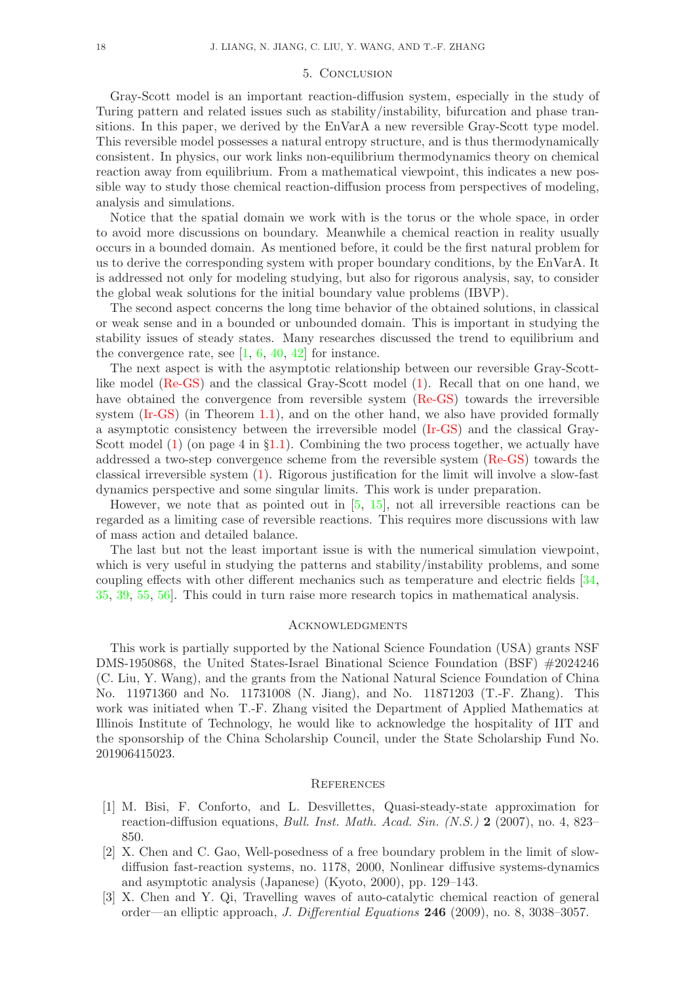### 5. Conclusion

Gray-Scott model is an important reaction-diffusion system, especially in the study of Turing pattern and related issues such as stability/instability, bifurcation and phase transitions. In this paper, we derived by the EnVarA a new reversible Gray-Scott type model. This reversible model possesses a natural entropy structure, and is thus thermodynamically consistent. In physics, our work links non-equilibrium thermodynamics theory on chemical reaction away from equilibrium. From a mathematical viewpoint, this indicates a new possible way to study those chemical reaction-diffusion process from perspectives of modeling, analysis and simulations.

Notice that the spatial domain we work with is the torus or the whole space, in order to avoid more discussions on boundary. Meanwhile a chemical reaction in reality usually occurs in a bounded domain. As mentioned before, it could be the first natural problem for us to derive the corresponding system with proper boundary conditions, by the EnVarA. It is addressed not only for modeling studying, but also for rigorous analysis, say, to consider the global weak solutions for the initial boundary value problems (IBVP).

The second aspect concerns the long time behavior of the obtained solutions, in classical or weak sense and in a bounded or unbounded domain. This is important in studying the stability issues of steady states. Many researches discussed the trend to equilibrium and the convergence rate, see  $[1, 6, 40, 42]$  $[1, 6, 40, 42]$  $[1, 6, 40, 42]$  $[1, 6, 40, 42]$  $[1, 6, 40, 42]$  $[1, 6, 40, 42]$  $[1, 6, 40, 42]$  for instance.

The next aspect is with the asymptotic relationship between our reversible Gray-Scottlike model [\(Re-GS\)](#page-0-0) and the classical Gray-Scott model [\(1\)](#page-1-0). Recall that on one hand, we have obtained the convergence from reversible system [\(Re-GS\)](#page-0-0) towards the irreversible system [\(Ir-GS\)](#page-3-0) (in Theorem [1.1\)](#page-4-1), and on the other hand, we also have provided formally a asymptotic consistency between the irreversible model [\(Ir-GS\)](#page-3-0) and the classical Gray-Scott model  $(1)$  (on page 4 in §[1.1\)](#page-1-2). Combining the two process together, we actually have addressed a two-step convergence scheme from the reversible system [\(Re-GS\)](#page-0-0) towards the classical irreversible system [\(1\)](#page-1-0). Rigorous justification for the limit will involve a slow-fast dynamics perspective and some singular limits. This work is under preparation.

However, we note that as pointed out in [\[5,](#page-18-20) [15\]](#page-18-21), not all irreversible reactions can be regarded as a limiting case of reversible reactions. This requires more discussions with law of mass action and detailed balance.

The last but not the least important issue is with the numerical simulation viewpoint, which is very useful in studying the patterns and stability/instability problems, and some coupling effects with other different mechanics such as temperature and electric fields [\[34](#page-19-19), [35](#page-19-20), [39,](#page-19-21) [55](#page-20-13), [56\]](#page-20-15). This could in turn raise more research topics in mathematical analysis.

### **ACKNOWLEDGMENTS**

This work is partially supported by the National Science Foundation (USA) grants NSF DMS-1950868, the United States-Israel Binational Science Foundation (BSF) #2024246 (C. Liu, Y. Wang), and the grants from the National Natural Science Foundation of China No. 11971360 and No. 11731008 (N. Jiang), and No. 11871203 (T.-F. Zhang). This work was initiated when T.-F. Zhang visited the Department of Applied Mathematics at Illinois Institute of Technology, he would like to acknowledge the hospitality of IIT and the sponsorship of the China Scholarship Council, under the State Scholarship Fund No. 201906415023.

### **REFERENCES**

- <span id="page-17-2"></span>[1] M. Bisi, F. Conforto, and L. Desvillettes, Quasi-steady-state approximation for reaction-diffusion equations, Bull. Inst. Math. Acad. Sin. (N.S.) 2 (2007), no. 4, 823– 850.
- <span id="page-17-1"></span>[2] X. Chen and C. Gao, Well-posedness of a free boundary problem in the limit of slowdiffusion fast-reaction systems, no. 1178, 2000, Nonlinear diffusive systems-dynamics and asymptotic analysis (Japanese) (Kyoto, 2000), pp. 129–143.
- <span id="page-17-0"></span>[3] X. Chen and Y. Qi, Travelling waves of auto-catalytic chemical reaction of general order—an elliptic approach, J. Differential Equations 246 (2009), no. 8, 3038–3057.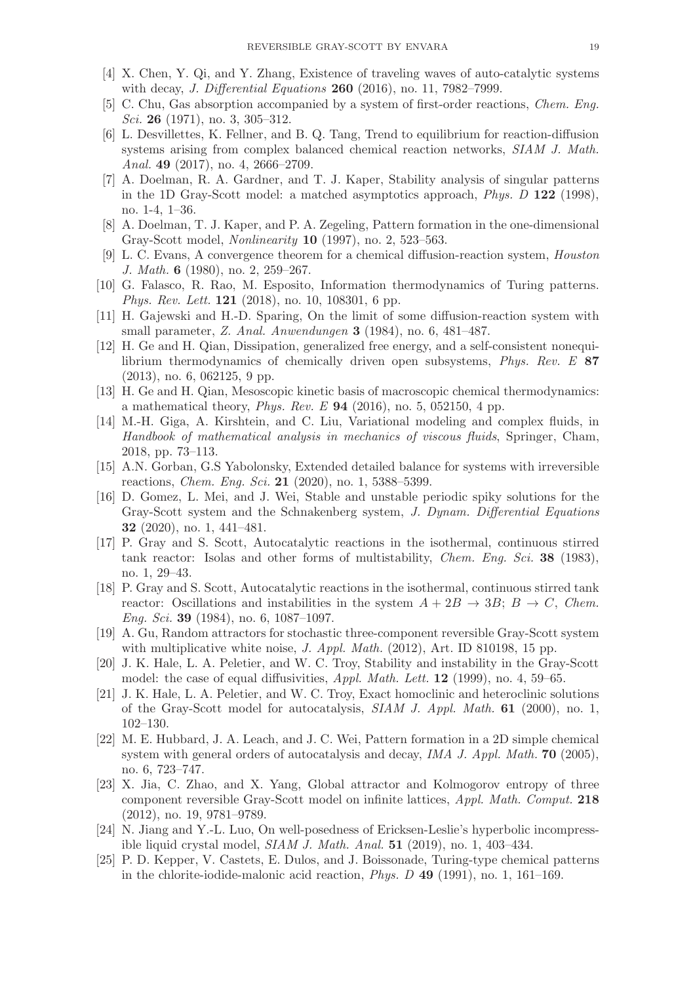- <span id="page-18-8"></span>[4] X. Chen, Y. Qi, and Y. Zhang, Existence of traveling waves of auto-catalytic systems with decay, *J. Differential Equations* **260** (2016), no. 11, 7982-7999.
- <span id="page-18-20"></span>[5] C. Chu, Gas absorption accompanied by a system of first-order reactions, Chem. Eng. Sci. 26 (1971), no. 3, 305–312.
- <span id="page-18-19"></span>[6] L. Desvillettes, K. Fellner, and B. Q. Tang, Trend to equilibrium for reaction-diffusion systems arising from complex balanced chemical reaction networks, SIAM J. Math. Anal. **49** (2017), no. 4, 2666-2709.
- <span id="page-18-4"></span>[7] A. Doelman, R. A. Gardner, and T. J. Kaper, Stability analysis of singular patterns in the 1D Gray-Scott model: a matched asymptotics approach, Phys. D 122 (1998), no. 1-4, 1–36.
- <span id="page-18-3"></span>[8] A. Doelman, T. J. Kaper, and P. A. Zegeling, Pattern formation in the one-dimensional Gray-Scott model, Nonlinearity 10 (1997), no. 2, 523–563.
- <span id="page-18-15"></span>[9] L. C. Evans, A convergence theorem for a chemical diffusion-reaction system, Houston J. Math. 6 (1980), no. 2, 259–267.
- <span id="page-18-17"></span>[10] G. Falasco, R. Rao, M. Esposito, Information thermodynamics of Turing patterns. *Phys. Rev. Lett.* **121** (2018), no. 10, 108301, 6 pp.
- <span id="page-18-16"></span>[11] H. Gajewski and H.-D. Sparing, On the limit of some diffusion-reaction system with small parameter, Z. Anal. Anwendungen 3 (1984), no. 6, 481–487.
- <span id="page-18-11"></span>[12] H. Ge and H. Qian, Dissipation, generalized free energy, and a self-consistent nonequilibrium thermodynamics of chemically driven open subsystems, Phys. Rev. E 87 (2013), no. 6, 062125, 9 pp.
- <span id="page-18-13"></span>[13] H. Ge and H. Qian, Mesoscopic kinetic basis of macroscopic chemical thermodynamics: a mathematical theory, *Phys. Rev. E* **94** (2016), no. 5, 052150, 4 pp.
- <span id="page-18-14"></span>[14] M.-H. Giga, A. Kirshtein, and C. Liu, Variational modeling and complex fluids, in Handbook of mathematical analysis in mechanics of viscous fluids, Springer, Cham, 2018, pp. 73–113.
- <span id="page-18-21"></span>[15] A.N. Gorban, G.S Yabolonsky, Extended detailed balance for systems with irreversible reactions, Chem. Eng. Sci. 21 (2020), no. 1, 5388–5399.
- <span id="page-18-9"></span>[16] D. Gomez, L. Mei, and J. Wei, Stable and unstable periodic spiky solutions for the Gray-Scott system and the Schnakenberg system, J. Dynam. Differential Equations 32 (2020), no. 1, 441–481.
- <span id="page-18-1"></span>[17] P. Gray and S. Scott, Autocatalytic reactions in the isothermal, continuous stirred tank reactor: Isolas and other forms of multistability, *Chem. Eng. Sci.* 38 (1983), no. 1, 29–43.
- <span id="page-18-2"></span>[18] P. Gray and S. Scott, Autocatalytic reactions in the isothermal, continuous stirred tank reactor: Oscillations and instabilities in the system  $A + 2B \rightarrow 3B$ ;  $B \rightarrow C$ , Chem. Eng. Sci. 39 (1984), no. 6, 1087–1097.
- <span id="page-18-10"></span>[19] A. Gu, Random attractors for stochastic three-component reversible Gray-Scott system with multiplicative white noise, J. Appl. Math.  $(2012)$ , Art. ID 810198, 15 pp.
- <span id="page-18-5"></span>[20] J. K. Hale, L. A. Peletier, and W. C. Troy, Stability and instability in the Gray-Scott model: the case of equal diffusivities, Appl. Math. Lett. 12 (1999), no. 4, 59–65.
- <span id="page-18-6"></span>[21] J. K. Hale, L. A. Peletier, and W. C. Troy, Exact homoclinic and heteroclinic solutions of the Gray-Scott model for autocatalysis, SIAM J. Appl. Math. 61 (2000), no. 1, 102–130.
- <span id="page-18-7"></span>[22] M. E. Hubbard, J. A. Leach, and J. C. Wei, Pattern formation in a 2D simple chemical system with general orders of autocatalysis and decay, *IMA J. Appl. Math.* **70** (2005), no. 6, 723–747.
- <span id="page-18-12"></span>[23] X. Jia, C. Zhao, and X. Yang, Global attractor and Kolmogorov entropy of three component reversible Gray-Scott model on infinite lattices, Appl. Math. Comput. 218 (2012), no. 19, 9781–9789.
- <span id="page-18-18"></span>[24] N. Jiang and Y.-L. Luo, On well-posedness of Ericksen-Leslie's hyperbolic incompressible liquid crystal model, SIAM J. Math. Anal. 51 (2019), no. 1, 403–434.
- <span id="page-18-0"></span>[25] P. D. Kepper, V. Castets, E. Dulos, and J. Boissonade, Turing-type chemical patterns in the chlorite-iodide-malonic acid reaction, Phys. D 49 (1991), no. 1, 161–169.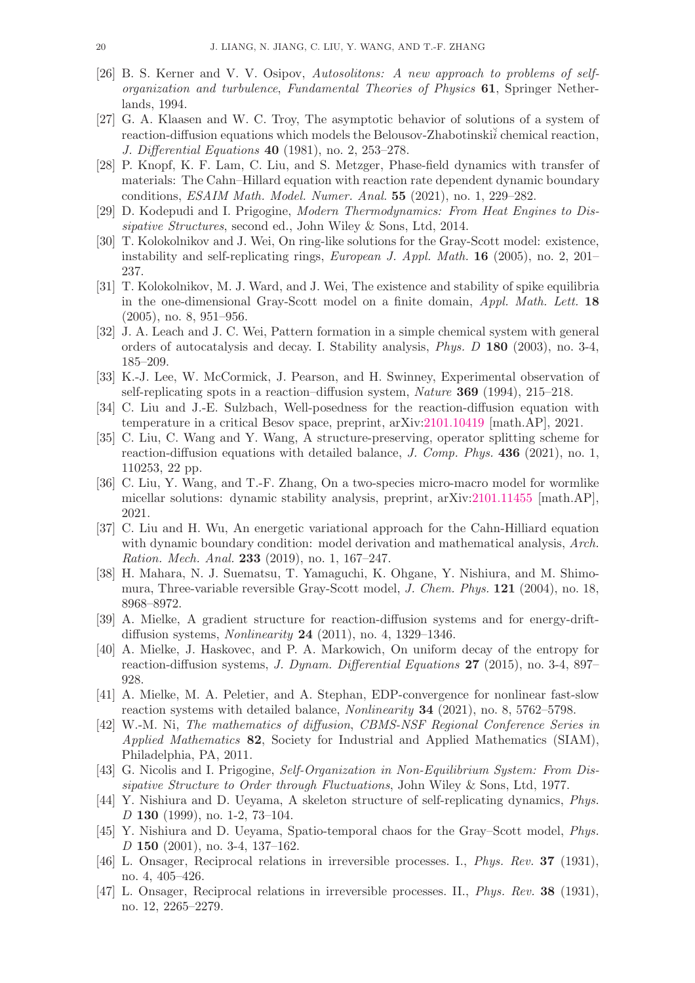- <span id="page-19-9"></span>[26] B. S. Kerner and V. V. Osipov, Autosolitons: A new approach to problems of selforganization and turbulence, Fundamental Theories of Physics 61, Springer Netherlands, 1994.
- <span id="page-19-10"></span>[27] G. A. Klaasen and W. C. Troy, The asymptotic behavior of solutions of a system of reaction-diffusion equations which models the Belousov-Zhabotinski $\tilde{i}$  chemical reaction, J. Differential Equations 40 (1981), no. 2, 253–278.
- <span id="page-19-14"></span>[28] P. Knopf, K. F. Lam, C. Liu, and S. Metzger, Phase-field dynamics with transfer of materials: The Cahn–Hillard equation with reaction rate dependent dynamic boundary conditions, ESAIM Math. Model. Numer. Anal. 55 (2021), no. 1, 229–282.
- <span id="page-19-3"></span>[29] D. Kodepudi and I. Prigogine, Modern Thermodynamics: From Heat Engines to Dissipative Structures, second ed., John Wiley & Sons, Ltd, 2014.
- <span id="page-19-7"></span>[30] T. Kolokolnikov and J. Wei, On ring-like solutions for the Gray-Scott model: existence, instability and self-replicating rings, European J. Appl. Math. 16 (2005), no. 2, 201– 237.
- <span id="page-19-17"></span>[31] T. Kolokolnikov, M. J. Ward, and J. Wei, The existence and stability of spike equilibria in the one-dimensional Gray-Scott model on a finite domain, Appl. Math. Lett. 18 (2005), no. 8, 951–956.
- <span id="page-19-8"></span>[32] J. A. Leach and J. C. Wei, Pattern formation in a simple chemical system with general orders of autocatalysis and decay. I. Stability analysis, Phys. D 180 (2003), no. 3-4, 185–209.
- <span id="page-19-6"></span>[33] K.-J. Lee, W. McCormick, J. Pearson, and H. Swinney, Experimental observation of self-replicating spots in a reaction–diffusion system, Nature 369 (1994), 215–218.
- <span id="page-19-19"></span>[34] C. Liu and J.-E. Sulzbach, Well-posedness for the reaction-diffusion equation with temperature in a critical Besov space, preprint, arXiv[:2101.10419](https://arxiv.org/abs/2101.10419) [math.AP], 2021.
- <span id="page-19-20"></span>[35] C. Liu, C. Wang and Y. Wang, A structure-preserving, operator splitting scheme for reaction-diffusion equations with detailed balance, J. Comp. Phys. 436 (2021), no. 1, 110253, 22 pp.
- <span id="page-19-15"></span>[36] C. Liu, Y. Wang, and T.-F. Zhang, On a two-species micro-macro model for wormlike micellar solutions: dynamic stability analysis, preprint, arXiv[:2101.11455](https://arxiv.org/abs/2101.11455) [math.AP], 2021.
- <span id="page-19-5"></span>[37] C. Liu and H. Wu, An energetic variational approach for the Cahn-Hilliard equation with dynamic boundary condition: model derivation and mathematical analysis, Arch. Ration. Mech. Anal. 233 (2019), no. 1, 167–247.
- <span id="page-19-11"></span>[38] H. Mahara, N. J. Suematsu, T. Yamaguchi, K. Ohgane, Y. Nishiura, and M. Shimomura, Three-variable reversible Gray-Scott model, J. Chem. Phys. 121 (2004), no. 18, 8968–8972.
- <span id="page-19-21"></span>[39] A. Mielke, A gradient structure for reaction-diffusion systems and for energy-driftdiffusion systems, Nonlinearity 24 (2011), no. 4, 1329–1346.
- <span id="page-19-18"></span>[40] A. Mielke, J. Haskovec, and P. A. Markowich, On uniform decay of the entropy for reaction-diffusion systems, J. Dynam. Differential Equations 27 (2015), no. 3-4, 897– 928.
- <span id="page-19-16"></span>[41] A. Mielke, M. A. Peletier, and A. Stephan, EDP-convergence for nonlinear fast-slow reaction systems with detailed balance, Nonlinearity 34 (2021), no. 8, 5762–5798.
- <span id="page-19-0"></span>[42] W.-M. Ni, The mathematics of diffusion, CBMS-NSF Regional Conference Series in Applied Mathematics 82, Society for Industrial and Applied Mathematics (SIAM), Philadelphia, PA, 2011.
- <span id="page-19-4"></span>[43] G. Nicolis and I. Prigogine, Self-Organization in Non-Equilibrium System: From Dissipative Structure to Order through Fluctuations, John Wiley & Sons, Ltd, 1977.
- <span id="page-19-1"></span>[44] Y. Nishiura and D. Ueyama, A skeleton structure of self-replicating dynamics, Phys. D 130 (1999), no. 1-2, 73–104.
- <span id="page-19-2"></span>[45] Y. Nishiura and D. Ueyama, Spatio-temporal chaos for the Gray–Scott model, Phys. D 150 (2001), no. 3-4, 137–162.
- <span id="page-19-12"></span>[46] L. Onsager, Reciprocal relations in irreversible processes. I., Phys. Rev. 37 (1931), no. 4, 405–426.
- <span id="page-19-13"></span>[47] L. Onsager, Reciprocal relations in irreversible processes. II., Phys. Rev. 38 (1931), no. 12, 2265–2279.